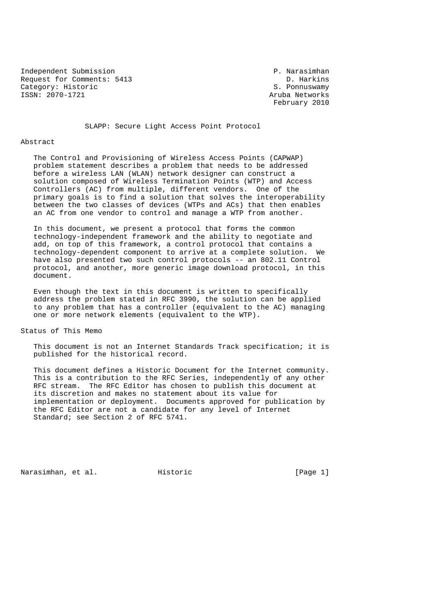Independent Submission P. Narasimhan Request for Comments: 5413 D. Harkins<br>
Category: Historic S. Ponnuswamy Category: Historic<br>ISSN: 2070-1721

Aruba Networks February 2010

SLAPP: Secure Light Access Point Protocol

#### Abstract

 The Control and Provisioning of Wireless Access Points (CAPWAP) problem statement describes a problem that needs to be addressed before a wireless LAN (WLAN) network designer can construct a solution composed of Wireless Termination Points (WTP) and Access Controllers (AC) from multiple, different vendors. One of the primary goals is to find a solution that solves the interoperability between the two classes of devices (WTPs and ACs) that then enables an AC from one vendor to control and manage a WTP from another.

 In this document, we present a protocol that forms the common technology-independent framework and the ability to negotiate and add, on top of this framework, a control protocol that contains a technology-dependent component to arrive at a complete solution. We have also presented two such control protocols -- an 802.11 Control protocol, and another, more generic image download protocol, in this document.

 Even though the text in this document is written to specifically address the problem stated in RFC 3990, the solution can be applied to any problem that has a controller (equivalent to the AC) managing one or more network elements (equivalent to the WTP).

## Status of This Memo

 This document is not an Internet Standards Track specification; it is published for the historical record.

 This document defines a Historic Document for the Internet community. This is a contribution to the RFC Series, independently of any other RFC stream. The RFC Editor has chosen to publish this document at its discretion and makes no statement about its value for implementation or deployment. Documents approved for publication by the RFC Editor are not a candidate for any level of Internet Standard; see Section 2 of RFC 5741.

Narasimhan, et al. Historic [Page 1]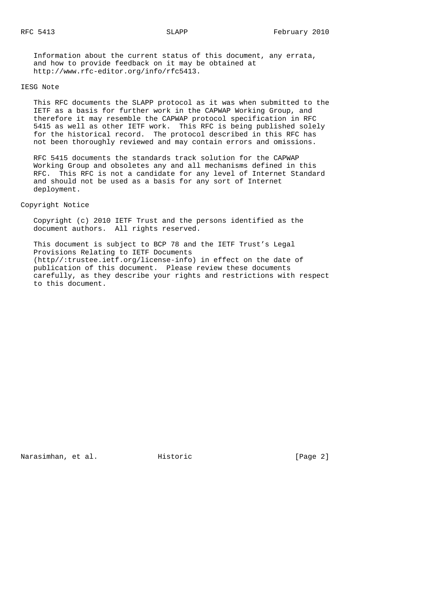Information about the current status of this document, any errata, and how to provide feedback on it may be obtained at http://www.rfc-editor.org/info/rfc5413.

#### IESG Note

 This RFC documents the SLAPP protocol as it was when submitted to the IETF as a basis for further work in the CAPWAP Working Group, and therefore it may resemble the CAPWAP protocol specification in RFC 5415 as well as other IETF work. This RFC is being published solely for the historical record. The protocol described in this RFC has not been thoroughly reviewed and may contain errors and omissions.

 RFC 5415 documents the standards track solution for the CAPWAP Working Group and obsoletes any and all mechanisms defined in this RFC. This RFC is not a candidate for any level of Internet Standard and should not be used as a basis for any sort of Internet deployment.

Copyright Notice

 Copyright (c) 2010 IETF Trust and the persons identified as the document authors. All rights reserved.

 This document is subject to BCP 78 and the IETF Trust's Legal Provisions Relating to IETF Documents (http//:trustee.ietf.org/license-info) in effect on the date of publication of this document. Please review these documents carefully, as they describe your rights and restrictions with respect to this document.

Narasimhan, et al. Historic [Page 2]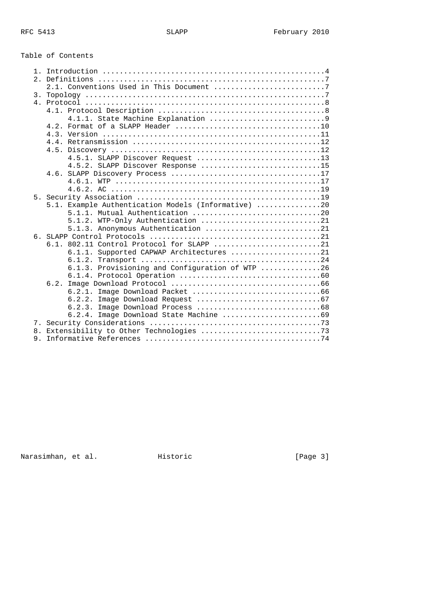# Table of Contents

| $\mathbf{1}$ |                                                     |
|--------------|-----------------------------------------------------|
|              |                                                     |
|              | 2.1. Conventions Used in This Document 7            |
|              |                                                     |
|              |                                                     |
|              |                                                     |
|              |                                                     |
|              |                                                     |
|              |                                                     |
|              |                                                     |
|              |                                                     |
|              | 4.5.1. SLAPP Discover Request 13                    |
|              | 4.5.2. SLAPP Discover Response 15                   |
|              |                                                     |
|              |                                                     |
|              |                                                     |
|              |                                                     |
|              | 5.1. Example Authentication Models (Informative) 20 |
|              |                                                     |
|              | 5.1.2. WTP-Only Authentication 21                   |
|              | 5.1.3. Anonymous Authentication 21                  |
|              | 6.1. 802.11 Control Protocol for SLAPP 21           |
|              | 6.1.1. Supported CAPWAP Architectures 21            |
|              |                                                     |
|              | 6.1.3. Provisioning and Configuration of WTP 26     |
|              |                                                     |
|              |                                                     |
|              | 6.2.1.                                              |
|              | 6.2.2.                                              |
|              | 6.2.3.                                              |
|              | Image Download State Machine 69<br>6.2.4.           |
|              |                                                     |
|              |                                                     |
|              |                                                     |

Narasimhan, et al. Historic [Page 3]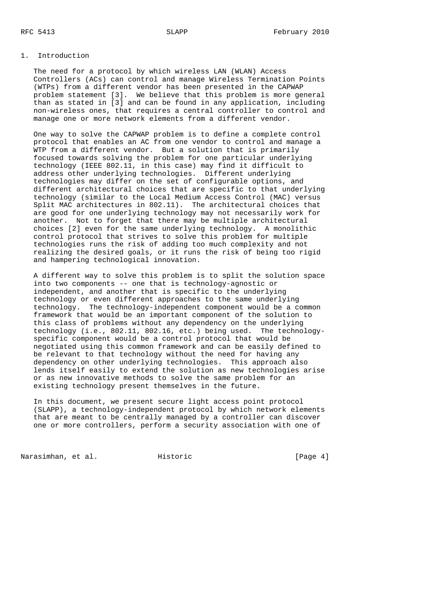## 1. Introduction

 The need for a protocol by which wireless LAN (WLAN) Access Controllers (ACs) can control and manage Wireless Termination Points (WTPs) from a different vendor has been presented in the CAPWAP problem statement [3]. We believe that this problem is more general than as stated in [3] and can be found in any application, including non-wireless ones, that requires a central controller to control and manage one or more network elements from a different vendor.

 One way to solve the CAPWAP problem is to define a complete control protocol that enables an AC from one vendor to control and manage a WTP from a different vendor. But a solution that is primarily focused towards solving the problem for one particular underlying technology (IEEE 802.11, in this case) may find it difficult to address other underlying technologies. Different underlying technologies may differ on the set of configurable options, and different architectural choices that are specific to that underlying technology (similar to the Local Medium Access Control (MAC) versus Split MAC architectures in 802.11). The architectural choices that are good for one underlying technology may not necessarily work for another. Not to forget that there may be multiple architectural choices [2] even for the same underlying technology. A monolithic control protocol that strives to solve this problem for multiple technologies runs the risk of adding too much complexity and not realizing the desired goals, or it runs the risk of being too rigid and hampering technological innovation.

 A different way to solve this problem is to split the solution space into two components -- one that is technology-agnostic or independent, and another that is specific to the underlying technology or even different approaches to the same underlying technology. The technology-independent component would be a common framework that would be an important component of the solution to this class of problems without any dependency on the underlying technology (i.e., 802.11, 802.16, etc.) being used. The technology specific component would be a control protocol that would be negotiated using this common framework and can be easily defined to be relevant to that technology without the need for having any dependency on other underlying technologies. This approach also lends itself easily to extend the solution as new technologies arise or as new innovative methods to solve the same problem for an existing technology present themselves in the future.

 In this document, we present secure light access point protocol (SLAPP), a technology-independent protocol by which network elements that are meant to be centrally managed by a controller can discover one or more controllers, perform a security association with one of

Narasimhan, et al. Historic [Page 4]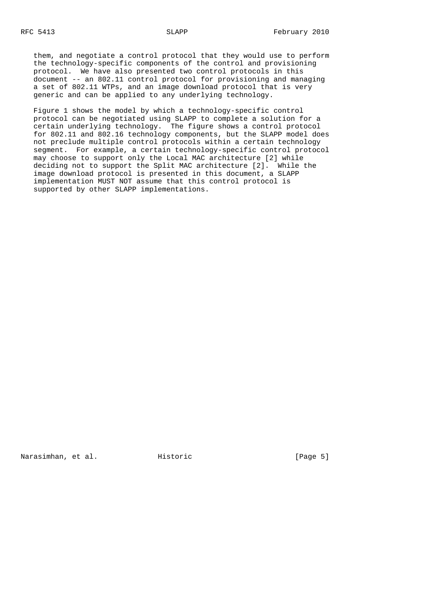them, and negotiate a control protocol that they would use to perform the technology-specific components of the control and provisioning protocol. We have also presented two control protocols in this document -- an 802.11 control protocol for provisioning and managing a set of 802.11 WTPs, and an image download protocol that is very generic and can be applied to any underlying technology.

 Figure 1 shows the model by which a technology-specific control protocol can be negotiated using SLAPP to complete a solution for a certain underlying technology. The figure shows a control protocol for 802.11 and 802.16 technology components, but the SLAPP model does not preclude multiple control protocols within a certain technology segment. For example, a certain technology-specific control protocol may choose to support only the Local MAC architecture [2] while deciding not to support the Split MAC architecture [2]. While the image download protocol is presented in this document, a SLAPP implementation MUST NOT assume that this control protocol is supported by other SLAPP implementations.

Narasimhan, et al. Historic [Page 5]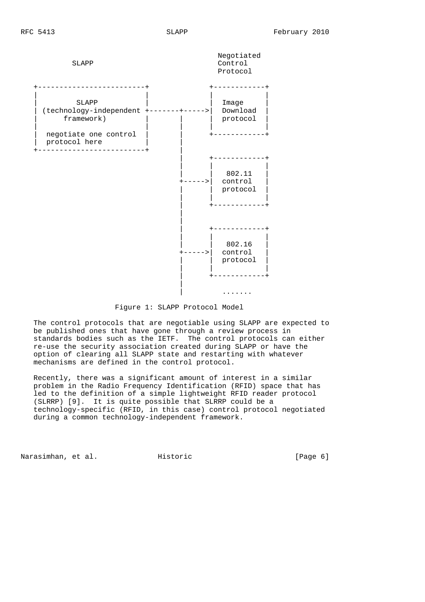

Figure 1: SLAPP Protocol Model

 The control protocols that are negotiable using SLAPP are expected to be published ones that have gone through a review process in standards bodies such as the IETF. The control protocols can either re-use the security association created during SLAPP or have the option of clearing all SLAPP state and restarting with whatever mechanisms are defined in the control protocol.

 Recently, there was a significant amount of interest in a similar problem in the Radio Frequency Identification (RFID) space that has led to the definition of a simple lightweight RFID reader protocol (SLRRP) [9]. It is quite possible that SLRRP could be a technology-specific (RFID, in this case) control protocol negotiated during a common technology-independent framework.

Narasimhan, et al. Historic [Page 6]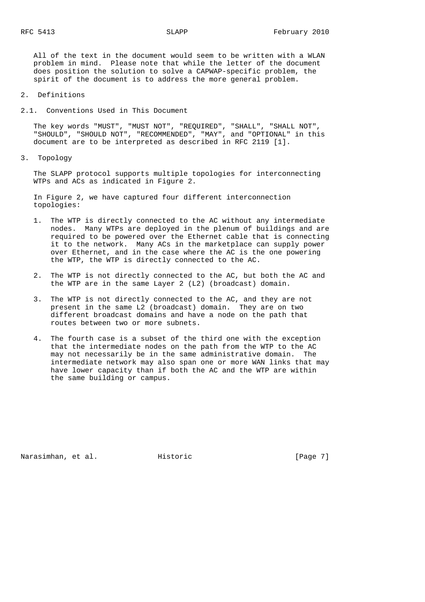All of the text in the document would seem to be written with a WLAN problem in mind. Please note that while the letter of the document does position the solution to solve a CAPWAP-specific problem, the spirit of the document is to address the more general problem.

- 2. Definitions
- 2.1. Conventions Used in This Document

 The key words "MUST", "MUST NOT", "REQUIRED", "SHALL", "SHALL NOT", "SHOULD", "SHOULD NOT", "RECOMMENDED", "MAY", and "OPTIONAL" in this document are to be interpreted as described in RFC 2119 [1].

3. Topology

 The SLAPP protocol supports multiple topologies for interconnecting WTPs and ACs as indicated in Figure 2.

 In Figure 2, we have captured four different interconnection topologies:

- 1. The WTP is directly connected to the AC without any intermediate nodes. Many WTPs are deployed in the plenum of buildings and are required to be powered over the Ethernet cable that is connecting it to the network. Many ACs in the marketplace can supply power over Ethernet, and in the case where the AC is the one powering the WTP, the WTP is directly connected to the AC.
- 2. The WTP is not directly connected to the AC, but both the AC and the WTP are in the same Layer 2 (L2) (broadcast) domain.
- 3. The WTP is not directly connected to the AC, and they are not present in the same L2 (broadcast) domain. They are on two different broadcast domains and have a node on the path that routes between two or more subnets.
- 4. The fourth case is a subset of the third one with the exception that the intermediate nodes on the path from the WTP to the AC may not necessarily be in the same administrative domain. The intermediate network may also span one or more WAN links that may have lower capacity than if both the AC and the WTP are within the same building or campus.

Narasimhan, et al. Historic [Page 7]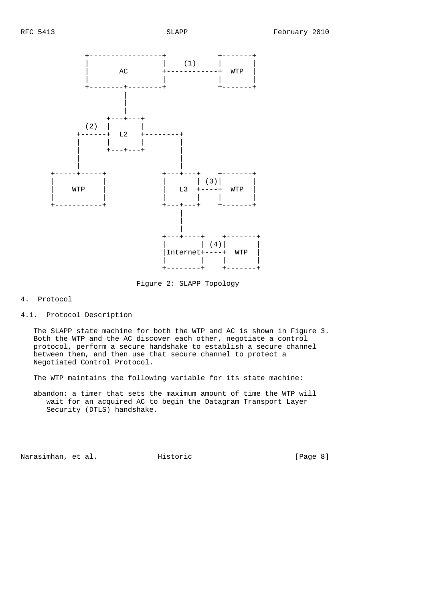

Figure 2: SLAPP Topology

## 4. Protocol

4.1. Protocol Description

 The SLAPP state machine for both the WTP and AC is shown in Figure 3. Both the WTP and the AC discover each other, negotiate a control protocol, perform a secure handshake to establish a secure channel between them, and then use that secure channel to protect a Negotiated Control Protocol.

The WTP maintains the following variable for its state machine:

 abandon: a timer that sets the maximum amount of time the WTP will wait for an acquired AC to begin the Datagram Transport Layer Security (DTLS) handshake.

Narasimhan, et al. Historic [Page 8]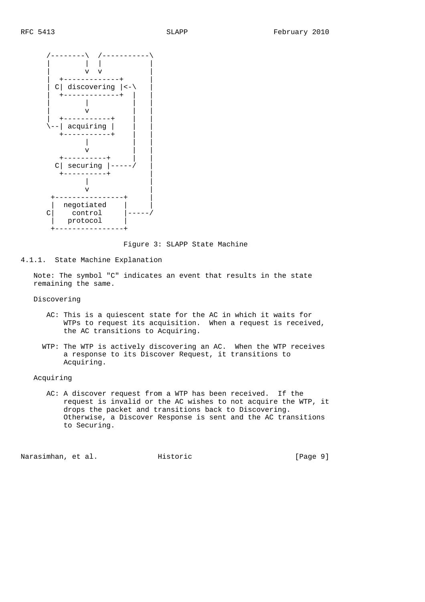

Figure 3: SLAPP State Machine

4.1.1. State Machine Explanation

 Note: The symbol "C" indicates an event that results in the state remaining the same.

Discovering

- AC: This is a quiescent state for the AC in which it waits for WTPs to request its acquisition. When a request is received, the AC transitions to Acquiring.
- WTP: The WTP is actively discovering an AC. When the WTP receives a response to its Discover Request, it transitions to Acquiring.

Acquiring

 AC: A discover request from a WTP has been received. If the request is invalid or the AC wishes to not acquire the WTP, it drops the packet and transitions back to Discovering. Otherwise, a Discover Response is sent and the AC transitions to Securing.

Narasimhan, et al. Historic [Page 9]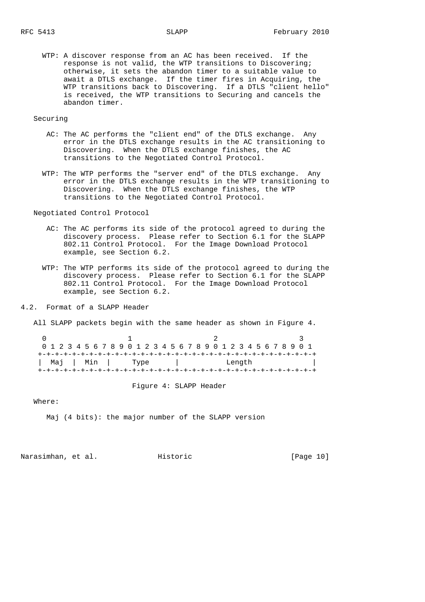WTP: A discover response from an AC has been received. If the response is not valid, the WTP transitions to Discovering; otherwise, it sets the abandon timer to a suitable value to await a DTLS exchange. If the timer fires in Acquiring, the WTP transitions back to Discovering. If a DTLS "client hello" is received, the WTP transitions to Securing and cancels the abandon timer.

## Securing

- AC: The AC performs the "client end" of the DTLS exchange. Any error in the DTLS exchange results in the AC transitioning to Discovering. When the DTLS exchange finishes, the AC transitions to the Negotiated Control Protocol.
- WTP: The WTP performs the "server end" of the DTLS exchange. Any error in the DTLS exchange results in the WTP transitioning to Discovering. When the DTLS exchange finishes, the WTP transitions to the Negotiated Control Protocol.

Negotiated Control Protocol

- AC: The AC performs its side of the protocol agreed to during the discovery process. Please refer to Section 6.1 for the SLAPP 802.11 Control Protocol. For the Image Download Protocol example, see Section 6.2.
- WTP: The WTP performs its side of the protocol agreed to during the discovery process. Please refer to Section 6.1 for the SLAPP 802.11 Control Protocol. For the Image Download Protocol example, see Section 6.2.
- 4.2. Format of a SLAPP Header

All SLAPP packets begin with the same header as shown in Figure 4.

| 0 1 2 3 4 5 6 7 8 9 0 1 2 3 4 5 6 7 8 9 0 1 2 3 4 5 6 7 8 9 0 1 |  |  |                  |  |  |  |  |  |  |  |        |  |  |  |  |  |
|-----------------------------------------------------------------|--|--|------------------|--|--|--|--|--|--|--|--------|--|--|--|--|--|
|                                                                 |  |  |                  |  |  |  |  |  |  |  |        |  |  |  |  |  |
|                                                                 |  |  | Maj   Min   Type |  |  |  |  |  |  |  | Length |  |  |  |  |  |
|                                                                 |  |  |                  |  |  |  |  |  |  |  |        |  |  |  |  |  |

Figure 4: SLAPP Header

Where:

Maj (4 bits): the major number of the SLAPP version

Narasimhan, et al. Historic [Page 10]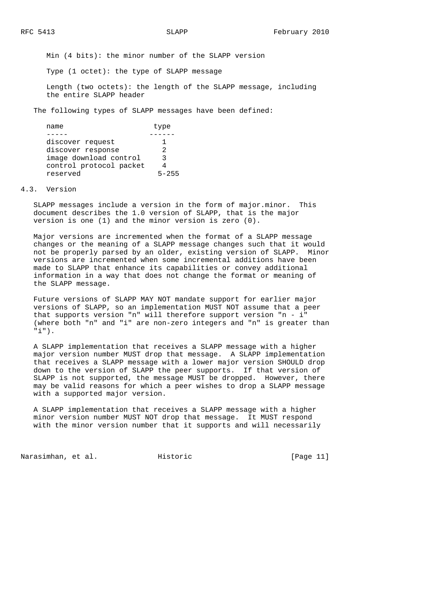Min (4 bits): the minor number of the SLAPP version

Type (1 octet): the type of SLAPP message

 Length (two octets): the length of the SLAPP message, including the entire SLAPP header

The following types of SLAPP messages have been defined:

| name                    | type  |
|-------------------------|-------|
|                         |       |
| discover request        |       |
| discover response       | 2     |
| image download control  | ર     |
| control protocol packet |       |
| reserved                | 5-255 |

### 4.3. Version

 SLAPP messages include a version in the form of major.minor. This document describes the 1.0 version of SLAPP, that is the major version is one (1) and the minor version is zero (0).

 Major versions are incremented when the format of a SLAPP message changes or the meaning of a SLAPP message changes such that it would not be properly parsed by an older, existing version of SLAPP. Minor versions are incremented when some incremental additions have been made to SLAPP that enhance its capabilities or convey additional information in a way that does not change the format or meaning of the SLAPP message.

 Future versions of SLAPP MAY NOT mandate support for earlier major versions of SLAPP, so an implementation MUST NOT assume that a peer that supports version "n" will therefore support version "n - i" (where both "n" and "i" are non-zero integers and "n" is greater than "i").

 A SLAPP implementation that receives a SLAPP message with a higher major version number MUST drop that message. A SLAPP implementation that receives a SLAPP message with a lower major version SHOULD drop down to the version of SLAPP the peer supports. If that version of SLAPP is not supported, the message MUST be dropped. However, there may be valid reasons for which a peer wishes to drop a SLAPP message with a supported major version.

 A SLAPP implementation that receives a SLAPP message with a higher minor version number MUST NOT drop that message. It MUST respond with the minor version number that it supports and will necessarily

Narasimhan, et al. Historic [Page 11]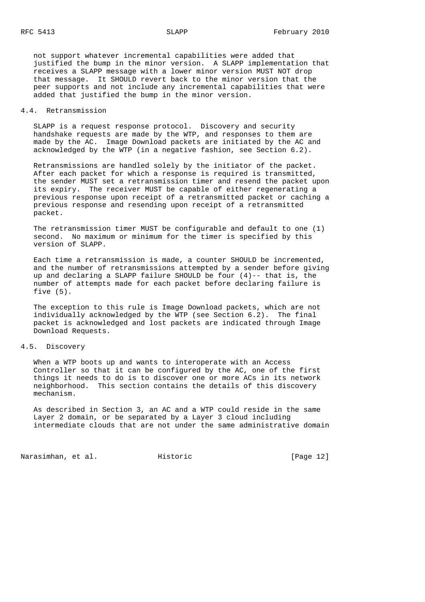not support whatever incremental capabilities were added that justified the bump in the minor version. A SLAPP implementation that receives a SLAPP message with a lower minor version MUST NOT drop that message. It SHOULD revert back to the minor version that the peer supports and not include any incremental capabilities that were added that justified the bump in the minor version.

## 4.4. Retransmission

 SLAPP is a request response protocol. Discovery and security handshake requests are made by the WTP, and responses to them are made by the AC. Image Download packets are initiated by the AC and acknowledged by the WTP (in a negative fashion, see Section 6.2).

 Retransmissions are handled solely by the initiator of the packet. After each packet for which a response is required is transmitted, the sender MUST set a retransmission timer and resend the packet upon its expiry. The receiver MUST be capable of either regenerating a previous response upon receipt of a retransmitted packet or caching a previous response and resending upon receipt of a retransmitted packet.

 The retransmission timer MUST be configurable and default to one (1) second. No maximum or minimum for the timer is specified by this version of SLAPP.

 Each time a retransmission is made, a counter SHOULD be incremented, and the number of retransmissions attempted by a sender before giving up and declaring a SLAPP failure SHOULD be four  $(4)$ -- that is, the number of attempts made for each packet before declaring failure is five (5).

 The exception to this rule is Image Download packets, which are not individually acknowledged by the WTP (see Section 6.2). The final packet is acknowledged and lost packets are indicated through Image Download Requests.

## 4.5. Discovery

 When a WTP boots up and wants to interoperate with an Access Controller so that it can be configured by the AC, one of the first things it needs to do is to discover one or more ACs in its network neighborhood. This section contains the details of this discovery mechanism.

 As described in Section 3, an AC and a WTP could reside in the same Layer 2 domain, or be separated by a Layer 3 cloud including intermediate clouds that are not under the same administrative domain

Narasimhan, et al. Historic [Page 12]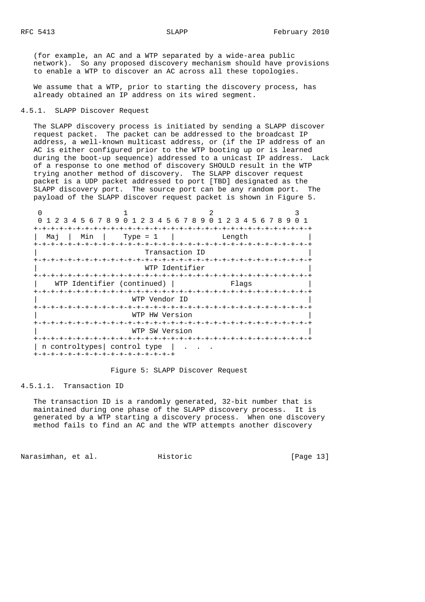(for example, an AC and a WTP separated by a wide-area public network). So any proposed discovery mechanism should have provisions to enable a WTP to discover an AC across all these topologies.

 We assume that a WTP, prior to starting the discovery process, has already obtained an IP address on its wired segment.

## 4.5.1. SLAPP Discover Request

 The SLAPP discovery process is initiated by sending a SLAPP discover request packet. The packet can be addressed to the broadcast IP address, a well-known multicast address, or (if the IP address of an AC is either configured prior to the WTP booting up or is learned during the boot-up sequence) addressed to a unicast IP address. Lack of a response to one method of discovery SHOULD result in the WTP trying another method of discovery. The SLAPP discover request packet is a UDP packet addressed to port [TBD] designated as the SLAPP discovery port. The source port can be any random port. The payload of the SLAPP discover request packet is shown in Figure 5.

|     |                | 1 2 3 4 5 6 7 8 9 0 1 2 3 4 5 6 7 8 9 0 1 2 3 4 5 6 7 8 9 |        |  |
|-----|----------------|-----------------------------------------------------------|--------|--|
|     |                |                                                           |        |  |
| Maj | Min            | Type = $1$                                                | Length |  |
|     |                |                                                           |        |  |
|     |                | Transaction ID                                            |        |  |
|     |                |                                                           |        |  |
|     |                | WTP Identifier                                            |        |  |
|     |                | WTP Identifier (continued)                                | Flaqs  |  |
|     |                |                                                           |        |  |
|     |                | WTP Vendor ID                                             |        |  |
|     |                |                                                           |        |  |
|     |                | WTP HW Version                                            |        |  |
|     |                |                                                           |        |  |
|     |                | WTP SW Version                                            |        |  |
|     |                |                                                           |        |  |
|     | n controltypes | control type                                              |        |  |
|     |                | +-+-+-+-+-+-+-+-+-+-+-+-+-+-+-+-+-+                       |        |  |

### Figure 5: SLAPP Discover Request

### 4.5.1.1. Transaction ID

 The transaction ID is a randomly generated, 32-bit number that is maintained during one phase of the SLAPP discovery process. It is generated by a WTP starting a discovery process. When one discovery method fails to find an AC and the WTP attempts another discovery

Narasimhan, et al. Historic [Page 13]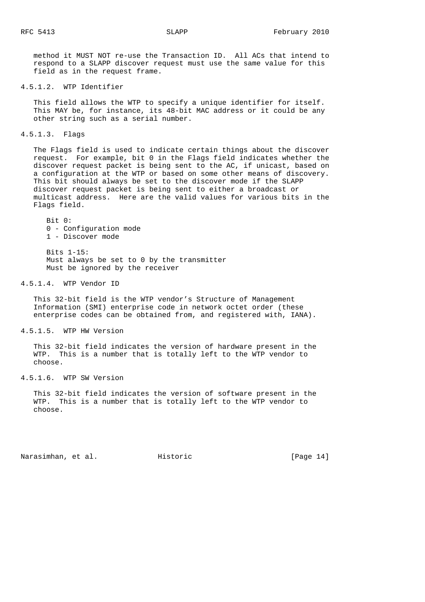method it MUST NOT re-use the Transaction ID. All ACs that intend to respond to a SLAPP discover request must use the same value for this field as in the request frame.

4.5.1.2. WTP Identifier

 This field allows the WTP to specify a unique identifier for itself. This MAY be, for instance, its 48-bit MAC address or it could be any other string such as a serial number.

4.5.1.3. Flags

 The Flags field is used to indicate certain things about the discover request. For example, bit 0 in the Flags field indicates whether the discover request packet is being sent to the AC, if unicast, based on a configuration at the WTP or based on some other means of discovery. This bit should always be set to the discover mode if the SLAPP discover request packet is being sent to either a broadcast or multicast address. Here are the valid values for various bits in the Flags field.

 Bit 0: 0 - Configuration mode 1 - Discover mode

 Bits 1-15: Must always be set to 0 by the transmitter Must be ignored by the receiver

4.5.1.4. WTP Vendor ID

 This 32-bit field is the WTP vendor's Structure of Management Information (SMI) enterprise code in network octet order (these enterprise codes can be obtained from, and registered with, IANA).

4.5.1.5. WTP HW Version

 This 32-bit field indicates the version of hardware present in the WTP. This is a number that is totally left to the WTP vendor to choose.

4.5.1.6. WTP SW Version

 This 32-bit field indicates the version of software present in the WTP. This is a number that is totally left to the WTP vendor to choose.

Narasimhan, et al. Historic [Page 14]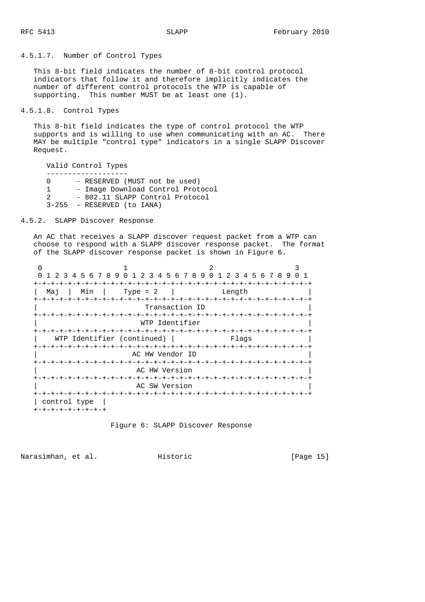4.5.1.7. Number of Control Types

 This 8-bit field indicates the number of 8-bit control protocol indicators that follow it and therefore implicitly indicates the number of different control protocols the WTP is capable of supporting. This number MUST be at least one (1).

4.5.1.8. Control Types

 This 8-bit field indicates the type of control protocol the WTP supports and is willing to use when communicating with an AC. There MAY be multiple "control type" indicators in a single SLAPP Discover Request.

 Valid Control Types ------------------- - RESERVED (MUST not be used) 1 - Image Download Control Protocol 2 - 802.11 SLAPP Control Protocol 3-255 - RESERVED (to IANA)

4.5.2. SLAPP Discover Response

 An AC that receives a SLAPP discover request packet from a WTP can choose to respond with a SLAPP discover response packet. The format of the SLAPP discover response packet is shown in Figure 6.

|                  |                            | 1 2 3 4 5 6 7 8 9 0 1 2 3 4 5 6 7 8 9 0 1 2 3 4 5 6 7 8 9 |  |
|------------------|----------------------------|-----------------------------------------------------------|--|
| Min<br>Maj       | Type = $2$                 | Length                                                    |  |
|                  | Transaction ID             |                                                           |  |
|                  |                            |                                                           |  |
|                  | WTP Identifier             |                                                           |  |
|                  | WTP Identifier (continued) | Flaqs                                                     |  |
| +-+-+-+-+-+-+-+- | AC HW Vendor ID            |                                                           |  |
|                  |                            |                                                           |  |
|                  | AC HW Version              |                                                           |  |
|                  | AC SW Version              |                                                           |  |

Figure 6: SLAPP Discover Response

Narasimhan, et al. Historic [Page 15]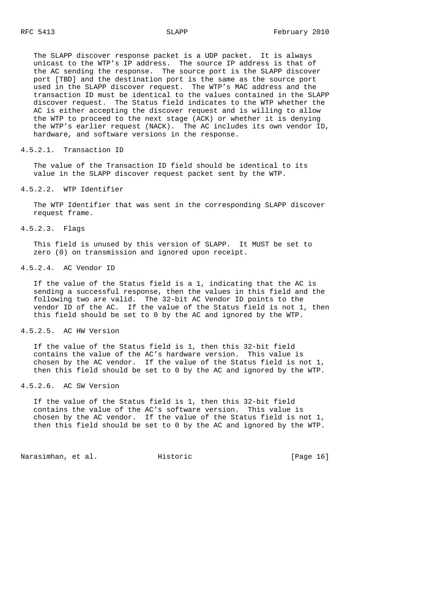The SLAPP discover response packet is a UDP packet. It is always unicast to the WTP's IP address. The source IP address is that of the AC sending the response. The source port is the SLAPP discover port [TBD] and the destination port is the same as the source port used in the SLAPP discover request. The WTP's MAC address and the transaction ID must be identical to the values contained in the SLAPP discover request. The Status field indicates to the WTP whether the AC is either accepting the discover request and is willing to allow the WTP to proceed to the next stage (ACK) or whether it is denying the WTP's earlier request (NACK). The AC includes its own vendor ID, hardware, and software versions in the response.

#### 4.5.2.1. Transaction ID

 The value of the Transaction ID field should be identical to its value in the SLAPP discover request packet sent by the WTP.

### 4.5.2.2. WTP Identifier

 The WTP Identifier that was sent in the corresponding SLAPP discover request frame.

## 4.5.2.3. Flags

 This field is unused by this version of SLAPP. It MUST be set to zero (0) on transmission and ignored upon receipt.

## 4.5.2.4. AC Vendor ID

 If the value of the Status field is a 1, indicating that the AC is sending a successful response, then the values in this field and the following two are valid. The 32-bit AC Vendor ID points to the vendor ID of the AC. If the value of the Status field is not 1, then this field should be set to 0 by the AC and ignored by the WTP.

### 4.5.2.5. AC HW Version

 If the value of the Status field is 1, then this 32-bit field contains the value of the AC's hardware version. This value is chosen by the AC vendor. If the value of the Status field is not 1, then this field should be set to 0 by the AC and ignored by the WTP.

## 4.5.2.6. AC SW Version

 If the value of the Status field is 1, then this 32-bit field contains the value of the AC's software version. This value is chosen by the AC vendor. If the value of the Status field is not 1, then this field should be set to 0 by the AC and ignored by the WTP.

Narasimhan, et al. Historic [Page 16]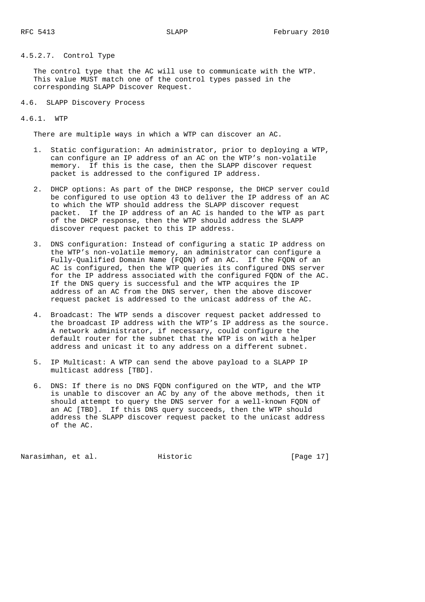## 4.5.2.7. Control Type

 The control type that the AC will use to communicate with the WTP. This value MUST match one of the control types passed in the corresponding SLAPP Discover Request.

4.6. SLAPP Discovery Process

## 4.6.1. WTP

There are multiple ways in which a WTP can discover an AC.

- 1. Static configuration: An administrator, prior to deploying a WTP, can configure an IP address of an AC on the WTP's non-volatile memory. If this is the case, then the SLAPP discover request packet is addressed to the configured IP address.
- 2. DHCP options: As part of the DHCP response, the DHCP server could be configured to use option 43 to deliver the IP address of an AC to which the WTP should address the SLAPP discover request packet. If the IP address of an AC is handed to the WTP as part of the DHCP response, then the WTP should address the SLAPP discover request packet to this IP address.
- 3. DNS configuration: Instead of configuring a static IP address on the WTP's non-volatile memory, an administrator can configure a Fully-Qualified Domain Name (FQDN) of an AC. If the FQDN of an AC is configured, then the WTP queries its configured DNS server for the IP address associated with the configured FQDN of the AC. If the DNS query is successful and the WTP acquires the IP address of an AC from the DNS server, then the above discover request packet is addressed to the unicast address of the AC.
- 4. Broadcast: The WTP sends a discover request packet addressed to the broadcast IP address with the WTP's IP address as the source. A network administrator, if necessary, could configure the default router for the subnet that the WTP is on with a helper address and unicast it to any address on a different subnet.
- 5. IP Multicast: A WTP can send the above payload to a SLAPP IP multicast address [TBD].
- 6. DNS: If there is no DNS FQDN configured on the WTP, and the WTP is unable to discover an AC by any of the above methods, then it should attempt to query the DNS server for a well-known FQDN of an AC [TBD]. If this DNS query succeeds, then the WTP should address the SLAPP discover request packet to the unicast address of the AC.

Narasimhan, et al. Historic [Page 17]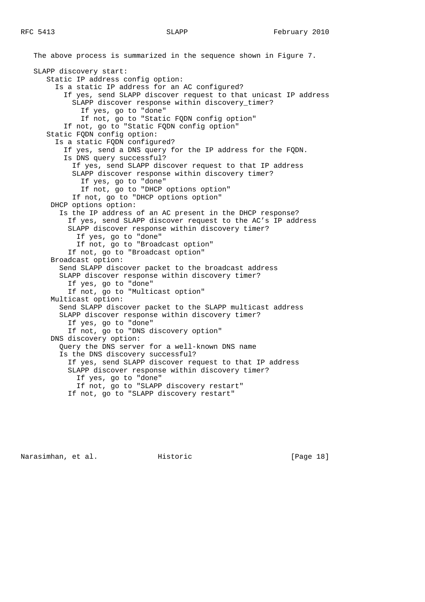The above process is summarized in the sequence shown in Figure 7. SLAPP discovery start: Static IP address config option: Is a static IP address for an AC configured? If yes, send SLAPP discover request to that unicast IP address SLAPP discover response within discovery\_timer? If yes, go to "done" If not, go to "Static FQDN config option" If not, go to "Static FQDN config option" Static FQDN config option: Is a static FQDN configured? If yes, send a DNS query for the IP address for the FQDN. Is DNS query successful? If yes, send SLAPP discover request to that IP address SLAPP discover response within discovery timer? If yes, go to "done" If not, go to "DHCP options option" If not, go to "DHCP options option" DHCP options option: Is the IP address of an AC present in the DHCP response? If yes, send SLAPP discover request to the AC's IP address SLAPP discover response within discovery timer? If yes, go to "done" If not, go to "Broadcast option" If not, go to "Broadcast option" Broadcast option: Send SLAPP discover packet to the broadcast address SLAPP discover response within discovery timer? If yes, go to "done" If not, go to "Multicast option" Multicast option: Send SLAPP discover packet to the SLAPP multicast address SLAPP discover response within discovery timer? If yes, go to "done" If not, go to "DNS discovery option" DNS discovery option: Query the DNS server for a well-known DNS name Is the DNS discovery successful? If yes, send SLAPP discover request to that IP address SLAPP discover response within discovery timer? If yes, go to "done" If not, go to "SLAPP discovery restart" If not, go to "SLAPP discovery restart"

Narasimhan, et al. Historic [Page 18]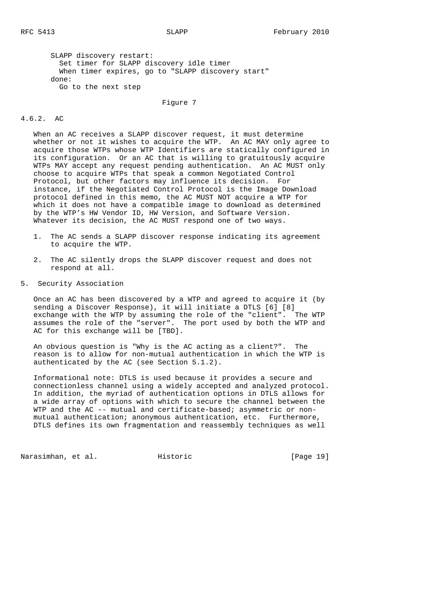SLAPP discovery restart: Set timer for SLAPP discovery idle timer When timer expires, go to "SLAPP discovery start" done: Go to the next step

Figure 7

## 4.6.2. AC

 When an AC receives a SLAPP discover request, it must determine whether or not it wishes to acquire the WTP. An AC MAY only agree to acquire those WTPs whose WTP Identifiers are statically configured in its configuration. Or an AC that is willing to gratuitously acquire WTPs MAY accept any request pending authentication. An AC MUST only choose to acquire WTPs that speak a common Negotiated Control Protocol, but other factors may influence its decision. For instance, if the Negotiated Control Protocol is the Image Download protocol defined in this memo, the AC MUST NOT acquire a WTP for which it does not have a compatible image to download as determined by the WTP's HW Vendor ID, HW Version, and Software Version. Whatever its decision, the AC MUST respond one of two ways.

- 1. The AC sends a SLAPP discover response indicating its agreement to acquire the WTP.
- 2. The AC silently drops the SLAPP discover request and does not respond at all.
- 5. Security Association

 Once an AC has been discovered by a WTP and agreed to acquire it (by sending a Discover Response), it will initiate a DTLS [6] [8] exchange with the WTP by assuming the role of the "client". The WTP assumes the role of the "server". The port used by both the WTP and AC for this exchange will be [TBD].

 An obvious question is "Why is the AC acting as a client?". The reason is to allow for non-mutual authentication in which the WTP is authenticated by the AC (see Section 5.1.2).

 Informational note: DTLS is used because it provides a secure and connectionless channel using a widely accepted and analyzed protocol. In addition, the myriad of authentication options in DTLS allows for a wide array of options with which to secure the channel between the WTP and the AC -- mutual and certificate-based; asymmetric or non mutual authentication; anonymous authentication, etc. Furthermore, DTLS defines its own fragmentation and reassembly techniques as well

Narasimhan, et al. Historic [Page 19]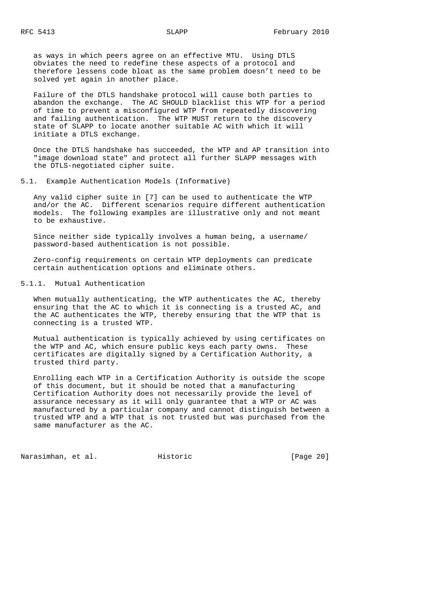as ways in which peers agree on an effective MTU. Using DTLS obviates the need to redefine these aspects of a protocol and therefore lessens code bloat as the same problem doesn't need to be solved yet again in another place.

 Failure of the DTLS handshake protocol will cause both parties to abandon the exchange. The AC SHOULD blacklist this WTP for a period of time to prevent a misconfigured WTP from repeatedly discovering and failing authentication. The WTP MUST return to the discovery state of SLAPP to locate another suitable AC with which it will initiate a DTLS exchange.

 Once the DTLS handshake has succeeded, the WTP and AP transition into "image download state" and protect all further SLAPP messages with the DTLS-negotiated cipher suite.

5.1. Example Authentication Models (Informative)

 Any valid cipher suite in [7] can be used to authenticate the WTP and/or the AC. Different scenarios require different authentication models. The following examples are illustrative only and not meant to be exhaustive.

 Since neither side typically involves a human being, a username/ password-based authentication is not possible.

 Zero-config requirements on certain WTP deployments can predicate certain authentication options and eliminate others.

5.1.1. Mutual Authentication

 When mutually authenticating, the WTP authenticates the AC, thereby ensuring that the AC to which it is connecting is a trusted AC, and the AC authenticates the WTP, thereby ensuring that the WTP that is connecting is a trusted WTP.

 Mutual authentication is typically achieved by using certificates on the WTP and AC, which ensure public keys each party owns. These certificates are digitally signed by a Certification Authority, a trusted third party.

 Enrolling each WTP in a Certification Authority is outside the scope of this document, but it should be noted that a manufacturing Certification Authority does not necessarily provide the level of assurance necessary as it will only guarantee that a WTP or AC was manufactured by a particular company and cannot distinguish between a trusted WTP and a WTP that is not trusted but was purchased from the same manufacturer as the AC.

Narasimhan, et al. Historic [Page 20]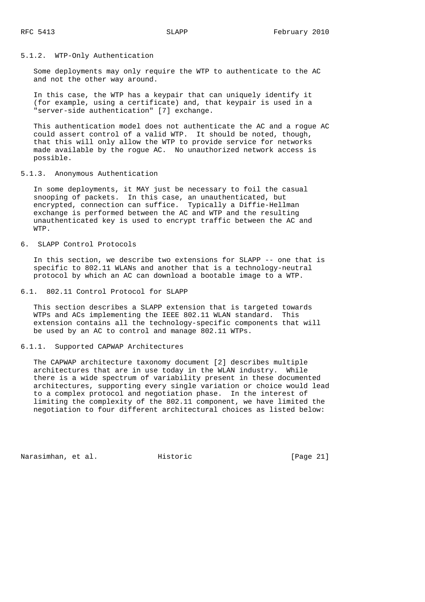## 5.1.2. WTP-Only Authentication

 Some deployments may only require the WTP to authenticate to the AC and not the other way around.

 In this case, the WTP has a keypair that can uniquely identify it (for example, using a certificate) and, that keypair is used in a "server-side authentication" [7] exchange.

 This authentication model does not authenticate the AC and a rogue AC could assert control of a valid WTP. It should be noted, though, that this will only allow the WTP to provide service for networks made available by the rogue AC. No unauthorized network access is possible.

## 5.1.3. Anonymous Authentication

 In some deployments, it MAY just be necessary to foil the casual snooping of packets. In this case, an unauthenticated, but encrypted, connection can suffice. Typically a Diffie-Hellman exchange is performed between the AC and WTP and the resulting unauthenticated key is used to encrypt traffic between the AC and WTP.

6. SLAPP Control Protocols

 In this section, we describe two extensions for SLAPP -- one that is specific to 802.11 WLANs and another that is a technology-neutral protocol by which an AC can download a bootable image to a WTP.

6.1. 802.11 Control Protocol for SLAPP

 This section describes a SLAPP extension that is targeted towards WTPs and ACs implementing the IEEE 802.11 WLAN standard. This extension contains all the technology-specific components that will be used by an AC to control and manage 802.11 WTPs.

## 6.1.1. Supported CAPWAP Architectures

 The CAPWAP architecture taxonomy document [2] describes multiple architectures that are in use today in the WLAN industry. While there is a wide spectrum of variability present in these documented architectures, supporting every single variation or choice would lead to a complex protocol and negotiation phase. In the interest of limiting the complexity of the 802.11 component, we have limited the negotiation to four different architectural choices as listed below:

Narasimhan, et al. Historic [Page 21]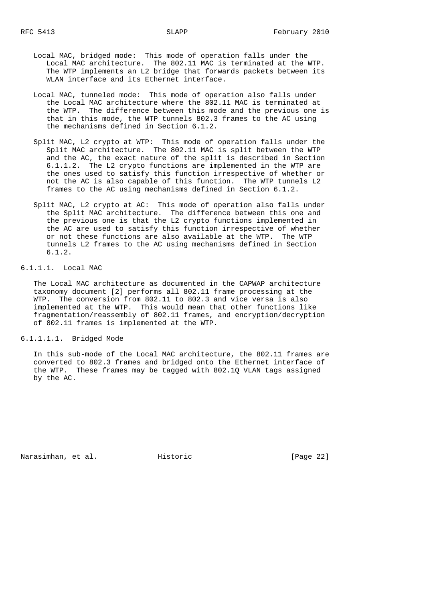- Local MAC, bridged mode: This mode of operation falls under the Local MAC architecture. The 802.11 MAC is terminated at the WTP. The WTP implements an L2 bridge that forwards packets between its WLAN interface and its Ethernet interface.
- Local MAC, tunneled mode: This mode of operation also falls under the Local MAC architecture where the 802.11 MAC is terminated at the WTP. The difference between this mode and the previous one is that in this mode, the WTP tunnels 802.3 frames to the AC using the mechanisms defined in Section 6.1.2.
- Split MAC, L2 crypto at WTP: This mode of operation falls under the Split MAC architecture. The 802.11 MAC is split between the WTP and the AC, the exact nature of the split is described in Section 6.1.1.2. The L2 crypto functions are implemented in the WTP are the ones used to satisfy this function irrespective of whether or not the AC is also capable of this function. The WTP tunnels L2 frames to the AC using mechanisms defined in Section 6.1.2.
- Split MAC, L2 crypto at AC: This mode of operation also falls under the Split MAC architecture. The difference between this one and the previous one is that the L2 crypto functions implemented in the AC are used to satisfy this function irrespective of whether or not these functions are also available at the WTP. The WTP tunnels L2 frames to the AC using mechanisms defined in Section 6.1.2.

6.1.1.1. Local MAC

 The Local MAC architecture as documented in the CAPWAP architecture taxonomy document [2] performs all 802.11 frame processing at the WTP. The conversion from 802.11 to 802.3 and vice versa is also implemented at the WTP. This would mean that other functions like fragmentation/reassembly of 802.11 frames, and encryption/decryption of 802.11 frames is implemented at the WTP.

6.1.1.1.1. Bridged Mode

 In this sub-mode of the Local MAC architecture, the 802.11 frames are converted to 802.3 frames and bridged onto the Ethernet interface of the WTP. These frames may be tagged with 802.1Q VLAN tags assigned by the AC.

Narasimhan, et al. Historic [Page 22]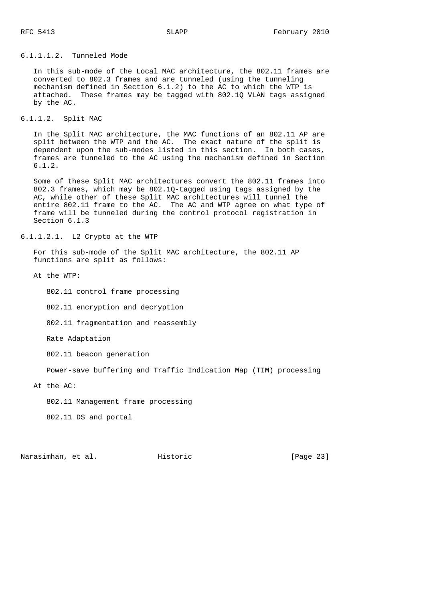## 6.1.1.1.2. Tunneled Mode

 In this sub-mode of the Local MAC architecture, the 802.11 frames are converted to 802.3 frames and are tunneled (using the tunneling mechanism defined in Section 6.1.2) to the AC to which the WTP is attached. These frames may be tagged with 802.1Q VLAN tags assigned by the AC.

## 6.1.1.2. Split MAC

 In the Split MAC architecture, the MAC functions of an 802.11 AP are split between the WTP and the AC. The exact nature of the split is dependent upon the sub-modes listed in this section. In both cases, frames are tunneled to the AC using the mechanism defined in Section 6.1.2.

 Some of these Split MAC architectures convert the 802.11 frames into 802.3 frames, which may be 802.1Q-tagged using tags assigned by the AC, while other of these Split MAC architectures will tunnel the entire 802.11 frame to the AC. The AC and WTP agree on what type of frame will be tunneled during the control protocol registration in Section 6.1.3

6.1.1.2.1. L2 Crypto at the WTP

 For this sub-mode of the Split MAC architecture, the 802.11 AP functions are split as follows:

At the WTP:

802.11 control frame processing

802.11 encryption and decryption

802.11 fragmentation and reassembly

Rate Adaptation

802.11 beacon generation

Power-save buffering and Traffic Indication Map (TIM) processing

At the AC:

802.11 Management frame processing

802.11 DS and portal

Narasimhan, et al. Historic [Page 23]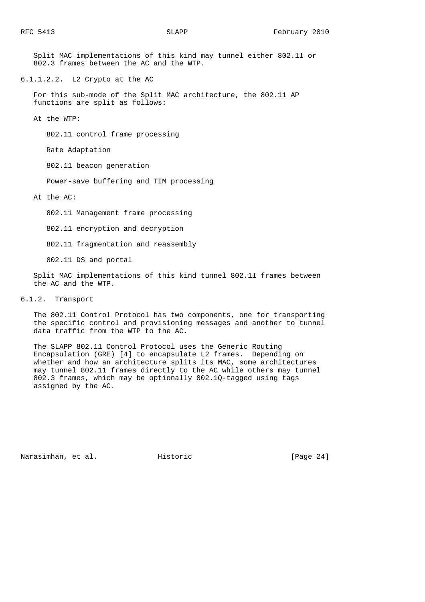Split MAC implementations of this kind may tunnel either 802.11 or 802.3 frames between the AC and the WTP.

6.1.1.2.2. L2 Crypto at the AC

 For this sub-mode of the Split MAC architecture, the 802.11 AP functions are split as follows:

At the WTP:

802.11 control frame processing

Rate Adaptation

802.11 beacon generation

Power-save buffering and TIM processing

At the AC:

802.11 Management frame processing

802.11 encryption and decryption

802.11 fragmentation and reassembly

802.11 DS and portal

 Split MAC implementations of this kind tunnel 802.11 frames between the AC and the WTP.

6.1.2. Transport

 The 802.11 Control Protocol has two components, one for transporting the specific control and provisioning messages and another to tunnel data traffic from the WTP to the AC.

 The SLAPP 802.11 Control Protocol uses the Generic Routing Encapsulation (GRE) [4] to encapsulate L2 frames. Depending on whether and how an architecture splits its MAC, some architectures may tunnel 802.11 frames directly to the AC while others may tunnel 802.3 frames, which may be optionally 802.1Q-tagged using tags assigned by the AC.

Narasimhan, et al. Historic [Page 24]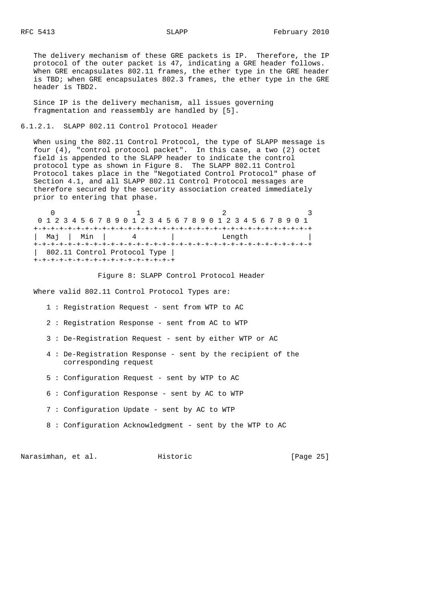The delivery mechanism of these GRE packets is IP. Therefore, the IP protocol of the outer packet is 47, indicating a GRE header follows. When GRE encapsulates 802.11 frames, the ether type in the GRE header is TBD; when GRE encapsulates 802.3 frames, the ether type in the GRE header is TBD2.

 Since IP is the delivery mechanism, all issues governing fragmentation and reassembly are handled by [5].

6.1.2.1. SLAPP 802.11 Control Protocol Header

 When using the 802.11 Control Protocol, the type of SLAPP message is four (4), "control protocol packet". In this case, a two (2) octet field is appended to the SLAPP header to indicate the control protocol type as shown in Figure 8. The SLAPP 802.11 Control Protocol takes place in the "Negotiated Control Protocol" phase of Section 4.1, and all SLAPP 802.11 Control Protocol messages are therefore secured by the security association created immediately prior to entering that phase.

 $0$  1 2 3 0 1 2 3 4 5 6 7 8 9 0 1 2 3 4 5 6 7 8 9 0 1 2 3 4 5 6 7 8 9 0 1 +-+-+-+-+-+-+-+-+-+-+-+-+-+-+-+-+-+-+-+-+-+-+-+-+-+-+-+-+-+-+-+-+ | Maj | Min | 4 | Length +-+-+-+-+-+-+-+-+-+-+-+-+-+-+-+-+-+-+-+-+-+-+-+-+-+-+-+-+-+-+-+-+ | 802.11 Control Protocol Type | +-+-+-+-+-+-+-+-+-+-+-+-+-+-+-+-+

Figure 8: SLAPP Control Protocol Header

Where valid 802.11 Control Protocol Types are:

- 1 : Registration Request sent from WTP to AC
- 2 : Registration Response sent from AC to WTP
- 3 : De-Registration Request sent by either WTP or AC
- 4 : De-Registration Response sent by the recipient of the corresponding request
- 5 : Configuration Request sent by WTP to AC
- 6 : Configuration Response sent by AC to WTP
- 7 : Configuration Update sent by AC to WTP
- 8 : Configuration Acknowledgment sent by the WTP to AC

Narasimhan, et al. Historic [Page 25]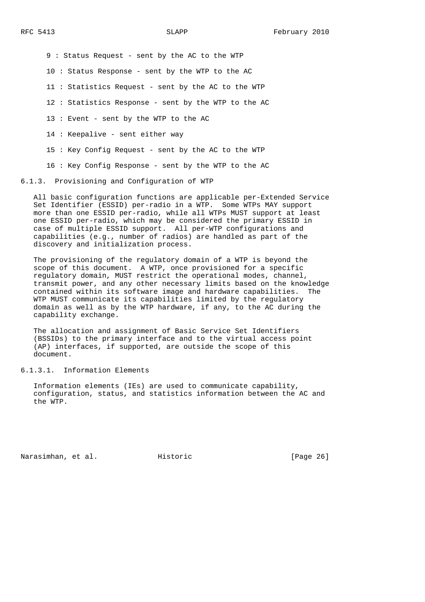9 : Status Request - sent by the AC to the WTP

10 : Status Response - sent by the WTP to the AC

11 : Statistics Request - sent by the AC to the WTP

12 : Statistics Response - sent by the WTP to the AC

13 : Event - sent by the WTP to the AC

14 : Keepalive - sent either way

15 : Key Config Request - sent by the AC to the WTP

16 : Key Config Response - sent by the WTP to the AC

6.1.3. Provisioning and Configuration of WTP

 All basic configuration functions are applicable per-Extended Service Set Identifier (ESSID) per-radio in a WTP. Some WTPs MAY support more than one ESSID per-radio, while all WTPs MUST support at least one ESSID per-radio, which may be considered the primary ESSID in case of multiple ESSID support. All per-WTP configurations and capabilities (e.g., number of radios) are handled as part of the discovery and initialization process.

 The provisioning of the regulatory domain of a WTP is beyond the scope of this document. A WTP, once provisioned for a specific regulatory domain, MUST restrict the operational modes, channel, transmit power, and any other necessary limits based on the knowledge contained within its software image and hardware capabilities. The WTP MUST communicate its capabilities limited by the regulatory domain as well as by the WTP hardware, if any, to the AC during the capability exchange.

 The allocation and assignment of Basic Service Set Identifiers (BSSIDs) to the primary interface and to the virtual access point (AP) interfaces, if supported, are outside the scope of this document.

6.1.3.1. Information Elements

 Information elements (IEs) are used to communicate capability, configuration, status, and statistics information between the AC and the WTP.

Narasimhan, et al. Historic [Page 26]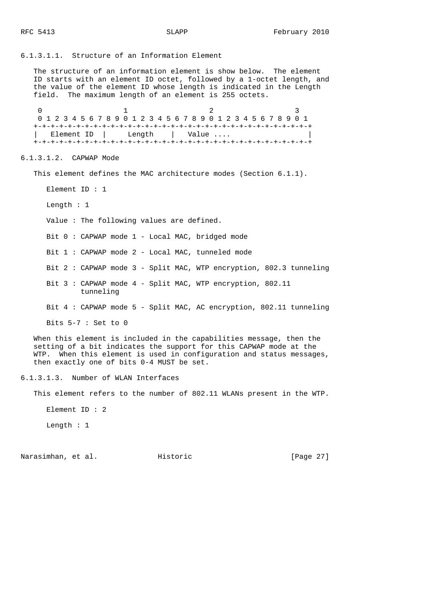6.1.3.1.1. Structure of an Information Element

 The structure of an information element is show below. The element ID starts with an element ID octet, followed by a 1-octet length, and the value of the element ID whose length is indicated in the Length field. The maximum length of an element is 255 octets.

0  $1$  2 3 0 1 2 3 4 5 6 7 8 9 0 1 2 3 4 5 6 7 8 9 0 1 2 3 4 5 6 7 8 9 0 1 +-+-+-+-+-+-+-+-+-+-+-+-+-+-+-+-+-+-+-+-+-+-+-+-+-+-+-+-+-+-+-+-+ | Element ID | Length | Value .... +-+-+-+-+-+-+-+-+-+-+-+-+-+-+-+-+-+-+-+-+-+-+-+-+-+-+-+-+-+-+-+-+

6.1.3.1.2. CAPWAP Mode

This element defines the MAC architecture modes (Section 6.1.1).

Element ID : 1

Length : 1

Value : The following values are defined.

Bit 0 : CAPWAP mode 1 - Local MAC, bridged mode

Bit 1 : CAPWAP mode 2 - Local MAC, tunneled mode

Bit 2 : CAPWAP mode 3 - Split MAC, WTP encryption, 802.3 tunneling

 Bit 3 : CAPWAP mode 4 - Split MAC, WTP encryption, 802.11 tunneling

Bit 4 : CAPWAP mode 5 - Split MAC, AC encryption, 802.11 tunneling

Bits 5-7 : Set to 0

 When this element is included in the capabilities message, then the setting of a bit indicates the support for this CAPWAP mode at the WTP. When this element is used in configuration and status messages, then exactly one of bits 0-4 MUST be set.

6.1.3.1.3. Number of WLAN Interfaces

This element refers to the number of 802.11 WLANs present in the WTP.

Element ID : 2

Length : 1

Narasimhan, et al. Historic [Page 27]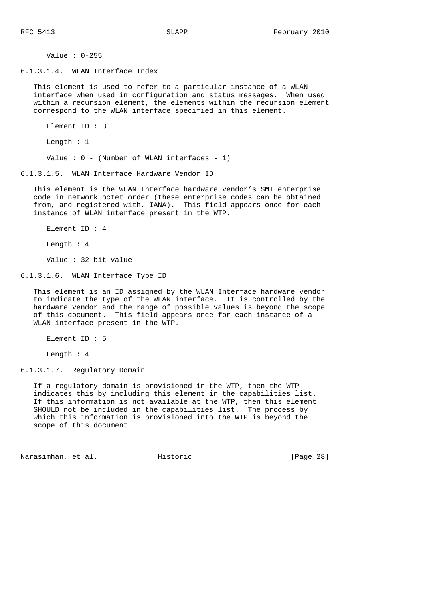Value : 0-255

6.1.3.1.4. WLAN Interface Index

 This element is used to refer to a particular instance of a WLAN interface when used in configuration and status messages. When used within a recursion element, the elements within the recursion element correspond to the WLAN interface specified in this element.

Element ID : 3

Length : 1

Value :  $0 -$  (Number of WLAN interfaces - 1)

6.1.3.1.5. WLAN Interface Hardware Vendor ID

 This element is the WLAN Interface hardware vendor's SMI enterprise code in network octet order (these enterprise codes can be obtained from, and registered with, IANA). This field appears once for each instance of WLAN interface present in the WTP.

Element ID : 4

Length : 4

Value : 32-bit value

6.1.3.1.6. WLAN Interface Type ID

 This element is an ID assigned by the WLAN Interface hardware vendor to indicate the type of the WLAN interface. It is controlled by the hardware vendor and the range of possible values is beyond the scope of this document. This field appears once for each instance of a WLAN interface present in the WTP.

Element ID : 5

Length : 4

6.1.3.1.7. Regulatory Domain

 If a regulatory domain is provisioned in the WTP, then the WTP indicates this by including this element in the capabilities list. If this information is not available at the WTP, then this element SHOULD not be included in the capabilities list. The process by which this information is provisioned into the WTP is beyond the scope of this document.

Narasimhan, et al. Historic [Page 28]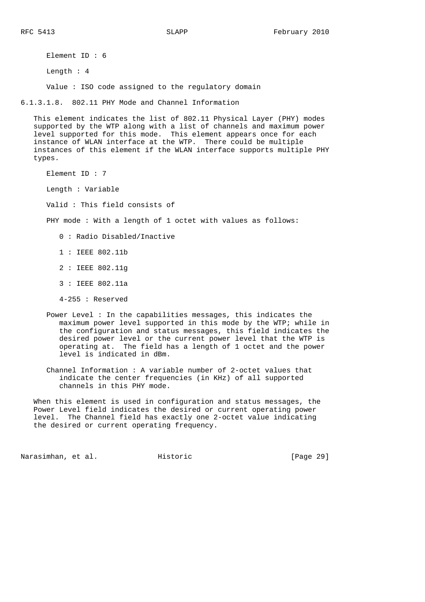Element ID : 6

Length : 4

Value : ISO code assigned to the regulatory domain

6.1.3.1.8. 802.11 PHY Mode and Channel Information

 This element indicates the list of 802.11 Physical Layer (PHY) modes supported by the WTP along with a list of channels and maximum power level supported for this mode. This element appears once for each instance of WLAN interface at the WTP. There could be multiple instances of this element if the WLAN interface supports multiple PHY types.

Element ID : 7

Length : Variable

Valid : This field consists of

PHY mode : With a length of 1 octet with values as follows:

- 0 : Radio Disabled/Inactive
- 1 : IEEE 802.11b
- 2 : IEEE 802.11g
- 3 : IEEE 802.11a
- 4-255 : Reserved
- Power Level : In the capabilities messages, this indicates the maximum power level supported in this mode by the WTP; while in the configuration and status messages, this field indicates the desired power level or the current power level that the WTP is operating at. The field has a length of 1 octet and the power level is indicated in dBm.
- Channel Information : A variable number of 2-octet values that indicate the center frequencies (in KHz) of all supported channels in this PHY mode.

 When this element is used in configuration and status messages, the Power Level field indicates the desired or current operating power level. The Channel field has exactly one 2-octet value indicating the desired or current operating frequency.

Narasimhan, et al. Historic [Page 29]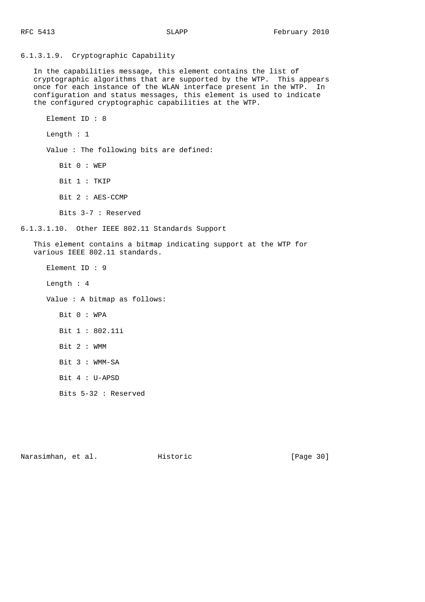6.1.3.1.9. Cryptographic Capability In the capabilities message, this element contains the list of cryptographic algorithms that are supported by the WTP. This appears once for each instance of the WLAN interface present in the WTP. In configuration and status messages, this element is used to indicate the configured cryptographic capabilities at the WTP. Element ID : 8 Length : 1 Value : The following bits are defined: Bit 0 : WEP Bit 1 : TKIP Bit 2 : AES-CCMP Bits 3-7 : Reserved 6.1.3.1.10. Other IEEE 802.11 Standards Support This element contains a bitmap indicating support at the WTP for various IEEE 802.11 standards. Element ID : 9 Length : 4 Value : A bitmap as follows: Bit 0 : WPA Bit 1 : 802.11i Bit 2 : WMM Bit 3 : WMM-SA Bit 4 : U-APSD Bits 5-32 : Reserved

Narasimhan, et al. Historic [Page 30]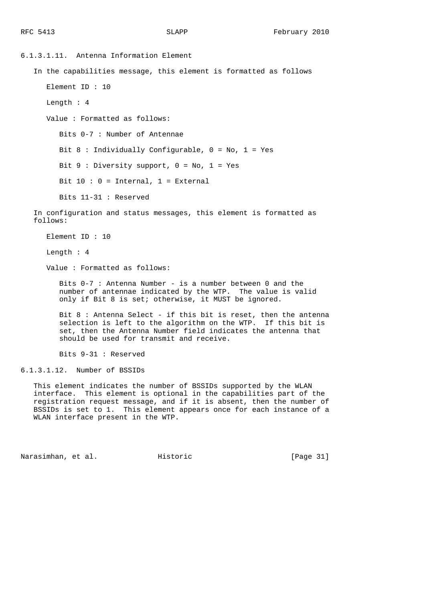6.1.3.1.11. Antenna Information Element In the capabilities message, this element is formatted as follows Element ID : 10 Length : 4 Value : Formatted as follows: Bits 0-7 : Number of Antennae Bit 8 : Individually Configurable, 0 = No, 1 = Yes Bit  $9:$  Diversity support,  $0 = No$ ,  $1 = Yes$ Bit  $10 : 0 = Internal$ ,  $1 = External$  Bits 11-31 : Reserved In configuration and status messages, this element is formatted as follows:

Element ID : 10

Length : 4

Value : Formatted as follows:

 Bits 0-7 : Antenna Number - is a number between 0 and the number of antennae indicated by the WTP. The value is valid only if Bit 8 is set; otherwise, it MUST be ignored.

 Bit 8 : Antenna Select - if this bit is reset, then the antenna selection is left to the algorithm on the WTP. If this bit is set, then the Antenna Number field indicates the antenna that should be used for transmit and receive.

Bits 9-31 : Reserved

6.1.3.1.12. Number of BSSIDs

 This element indicates the number of BSSIDs supported by the WLAN interface. This element is optional in the capabilities part of the registration request message, and if it is absent, then the number of BSSIDs is set to 1. This element appears once for each instance of a WLAN interface present in the WTP.

Narasimhan, et al. Historic [Page 31]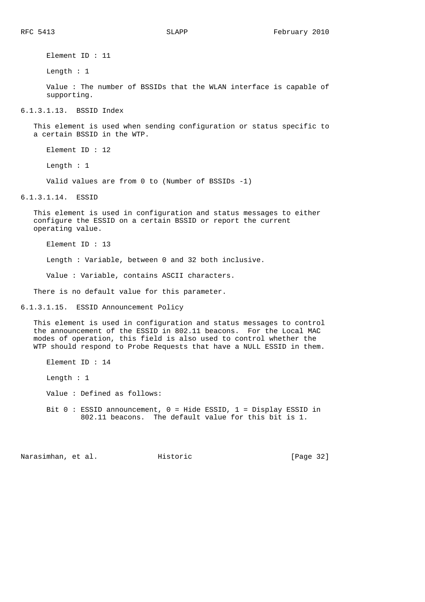Element ID : 11

Length : 1

 Value : The number of BSSIDs that the WLAN interface is capable of supporting.

6.1.3.1.13. BSSID Index

 This element is used when sending configuration or status specific to a certain BSSID in the WTP.

Element ID : 12

Length : 1

Valid values are from 0 to (Number of BSSIDs -1)

6.1.3.1.14. ESSID

 This element is used in configuration and status messages to either configure the ESSID on a certain BSSID or report the current operating value.

Element ID : 13

Length : Variable, between 0 and 32 both inclusive.

Value : Variable, contains ASCII characters.

There is no default value for this parameter.

6.1.3.1.15. ESSID Announcement Policy

 This element is used in configuration and status messages to control the announcement of the ESSID in 802.11 beacons. For the Local MAC modes of operation, this field is also used to control whether the WTP should respond to Probe Requests that have a NULL ESSID in them.

802.11 beacons. The default value for this bit is 1.

 Element ID : 14 Length : 1 Value : Defined as follows: Bit 0 : ESSID announcement, 0 = Hide ESSID, 1 = Display ESSID in

Narasimhan, et al. Historic [Page 32]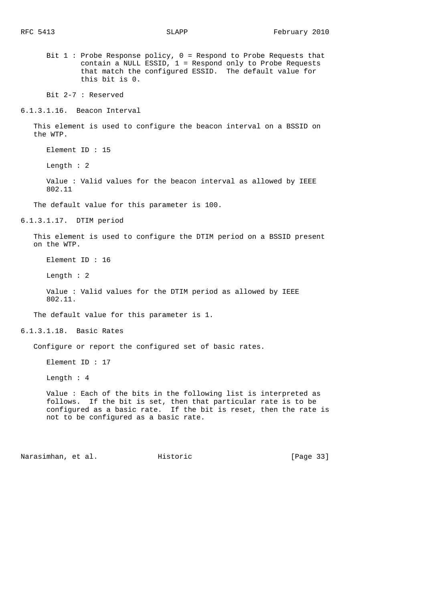Bit 1 : Probe Response policy, 0 = Respond to Probe Requests that contain a NULL ESSID, 1 = Respond only to Probe Requests that match the configured ESSID. The default value for this bit is 0.

Bit 2-7 : Reserved

6.1.3.1.16. Beacon Interval

 This element is used to configure the beacon interval on a BSSID on the WTP.

Element ID : 15

Length : 2

 Value : Valid values for the beacon interval as allowed by IEEE 802.11

The default value for this parameter is 100.

6.1.3.1.17. DTIM period

 This element is used to configure the DTIM period on a BSSID present on the WTP.

Element ID : 16

Length : 2

 Value : Valid values for the DTIM period as allowed by IEEE 802.11.

The default value for this parameter is 1.

6.1.3.1.18. Basic Rates

Configure or report the configured set of basic rates.

Element ID : 17

Length : 4

 Value : Each of the bits in the following list is interpreted as follows. If the bit is set, then that particular rate is to be configured as a basic rate. If the bit is reset, then the rate is not to be configured as a basic rate.

Narasimhan, et al. Historic [Page 33]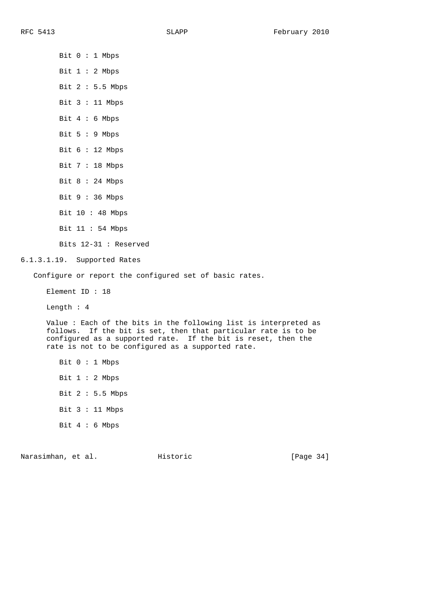Bit 0 : 1 Mbps Bit 1 : 2 Mbps Bit 2 : 5.5 Mbps Bit 3 : 11 Mbps Bit 4 : 6 Mbps Bit 5 : 9 Mbps Bit 6 : 12 Mbps Bit 7 : 18 Mbps Bit 8 : 24 Mbps Bit 9 : 36 Mbps Bit 10 : 48 Mbps Bit 11 : 54 Mbps Bits 12-31 : Reserved 6.1.3.1.19. Supported Rates Configure or report the configured set of basic rates. Element ID : 18 Length : 4 Value : Each of the bits in the following list is interpreted as follows. If the bit is set, then that particular rate is to be configured as a supported rate. If the bit is reset, then the rate is not to be configured as a supported rate. Bit 0 : 1 Mbps Bit 1 : 2 Mbps Bit 2 : 5.5 Mbps Bit 3 : 11 Mbps Bit 4 : 6 Mbps

Narasimhan, et al. Historic [Page 34]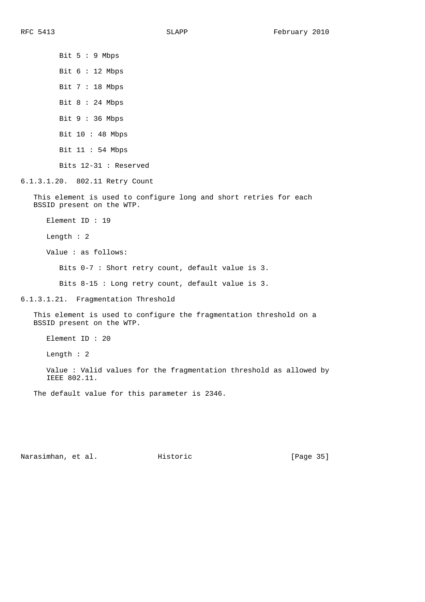Bit 5 : 9 Mbps Bit 6 : 12 Mbps Bit 7 : 18 Mbps Bit 8 : 24 Mbps Bit 9 : 36 Mbps Bit 10 : 48 Mbps Bit 11 : 54 Mbps Bits 12-31 : Reserved

6.1.3.1.20. 802.11 Retry Count

 This element is used to configure long and short retries for each BSSID present on the WTP.

Element ID : 19

Length : 2

Value : as follows:

Bits 0-7 : Short retry count, default value is 3.

Bits 8-15 : Long retry count, default value is 3.

6.1.3.1.21. Fragmentation Threshold

 This element is used to configure the fragmentation threshold on a BSSID present on the WTP.

Element ID : 20

Length : 2

 Value : Valid values for the fragmentation threshold as allowed by IEEE 802.11.

The default value for this parameter is 2346.

Narasimhan, et al. Historic [Page 35]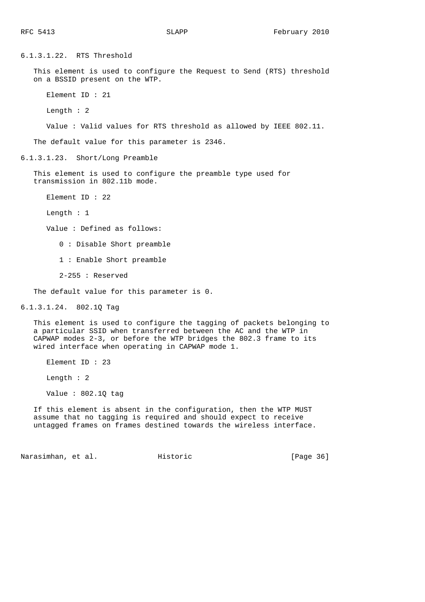6.1.3.1.22. RTS Threshold This element is used to configure the Request to Send (RTS) threshold on a BSSID present on the WTP. Element ID : 21 Length : 2 Value : Valid values for RTS threshold as allowed by IEEE 802.11. The default value for this parameter is 2346. 6.1.3.1.23. Short/Long Preamble This element is used to configure the preamble type used for transmission in 802.11b mode. Element ID : 22 Length : 1 Value : Defined as follows: 0 : Disable Short preamble 1 : Enable Short preamble 2-255 : Reserved The default value for this parameter is 0. 6.1.3.1.24. 802.1Q Tag This element is used to configure the tagging of packets belonging to a particular SSID when transferred between the AC and the WTP in CAPWAP modes 2-3, or before the WTP bridges the 802.3 frame to its wired interface when operating in CAPWAP mode 1. Element ID : 23 Length : 2 Value : 802.1Q tag

 If this element is absent in the configuration, then the WTP MUST assume that no tagging is required and should expect to receive untagged frames on frames destined towards the wireless interface.

Narasimhan, et al. Historic [Page 36]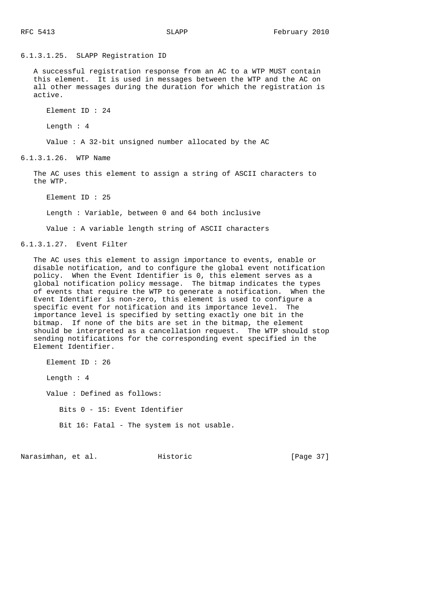6.1.3.1.25. SLAPP Registration ID

 A successful registration response from an AC to a WTP MUST contain this element. It is used in messages between the WTP and the AC on all other messages during the duration for which the registration is active.

Element ID : 24

Length : 4

Value : A 32-bit unsigned number allocated by the AC

6.1.3.1.26. WTP Name

 The AC uses this element to assign a string of ASCII characters to the WTP.

Element ID : 25

Length : Variable, between 0 and 64 both inclusive

Value : A variable length string of ASCII characters

6.1.3.1.27. Event Filter

 The AC uses this element to assign importance to events, enable or disable notification, and to configure the global event notification policy. When the Event Identifier is 0, this element serves as a global notification policy message. The bitmap indicates the types of events that require the WTP to generate a notification. When the Event Identifier is non-zero, this element is used to configure a specific event for notification and its importance level. The importance level is specified by setting exactly one bit in the bitmap. If none of the bits are set in the bitmap, the element should be interpreted as a cancellation request. The WTP should stop sending notifications for the corresponding event specified in the Element Identifier.

 Element ID : 26 Length : 4 Value : Defined as follows: Bits 0 - 15: Event Identifier Bit 16: Fatal - The system is not usable.

Narasimhan, et al. Historic [Page 37]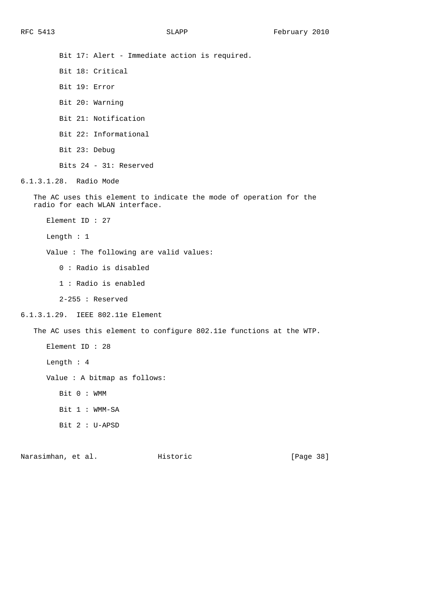Bit 17: Alert - Immediate action is required. Bit 18: Critical Bit 19: Error Bit 20: Warning Bit 21: Notification Bit 22: Informational Bit 23: Debug Bits 24 - 31: Reserved 6.1.3.1.28. Radio Mode The AC uses this element to indicate the mode of operation for the radio for each WLAN interface. Element ID : 27 Length : 1 Value : The following are valid values: 0 : Radio is disabled 1 : Radio is enabled 2-255 : Reserved 6.1.3.1.29. IEEE 802.11e Element The AC uses this element to configure 802.11e functions at the WTP. Element ID : 28 Length : 4 Value : A bitmap as follows: Bit 0 : WMM Bit 1 : WMM-SA Bit 2 : U-APSD

Narasimhan, et al. Historic [Page 38]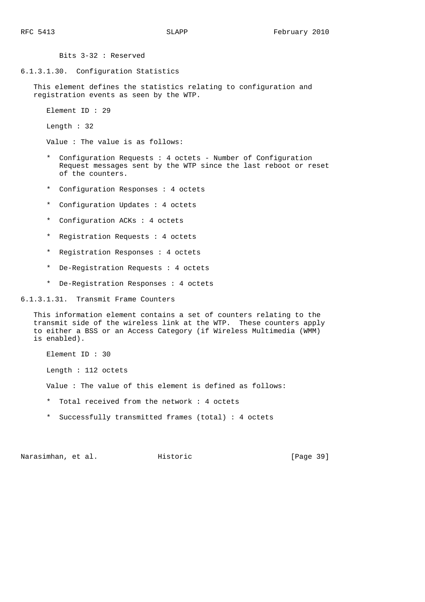6.1.3.1.30. Configuration Statistics This element defines the statistics relating to configuration and registration events as seen by the WTP.

Element ID : 29

Length : 32

Value : The value is as follows:

Bits 3-32 : Reserved

- \* Configuration Requests : 4 octets Number of Configuration Request messages sent by the WTP since the last reboot or reset of the counters.
- \* Configuration Responses : 4 octets
- \* Configuration Updates : 4 octets
- \* Configuration ACKs : 4 octets
- \* Registration Requests : 4 octets
- \* Registration Responses : 4 octets
- \* De-Registration Requests : 4 octets
- \* De-Registration Responses : 4 octets

6.1.3.1.31. Transmit Frame Counters

 This information element contains a set of counters relating to the transmit side of the wireless link at the WTP. These counters apply to either a BSS or an Access Category (if Wireless Multimedia (WMM) is enabled).

 Element ID : 30 Length : 112 octets Value : The value of this element is defined as follows: \* Total received from the network : 4 octets

\* Successfully transmitted frames (total) : 4 octets

Narasimhan, et al. Historic [Page 39]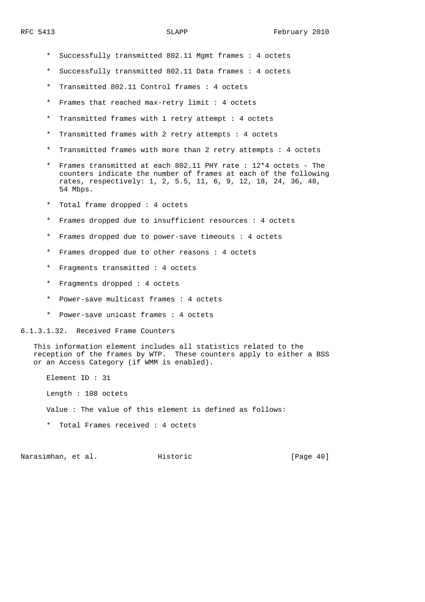- \* Successfully transmitted 802.11 Mgmt frames : 4 octets
- \* Successfully transmitted 802.11 Data frames : 4 octets
- \* Transmitted 802.11 Control frames : 4 octets
- \* Frames that reached max-retry limit : 4 octets
- \* Transmitted frames with 1 retry attempt : 4 octets
- \* Transmitted frames with 2 retry attempts : 4 octets
- \* Transmitted frames with more than 2 retry attempts : 4 octets
- \* Frames transmitted at each 802.11 PHY rate : 12\*4 octets The counters indicate the number of frames at each of the following rates, respectively: 1, 2, 5.5, 11, 6, 9, 12, 18, 24, 36, 48, 54 Mbps.
- \* Total frame dropped : 4 octets
- \* Frames dropped due to insufficient resources : 4 octets
- \* Frames dropped due to power-save timeouts : 4 octets
- \* Frames dropped due to other reasons : 4 octets
- \* Fragments transmitted : 4 octets
- \* Fragments dropped : 4 octets
- Power-save multicast frames : 4 octets
- \* Power-save unicast frames : 4 octets

6.1.3.1.32. Received Frame Counters

 This information element includes all statistics related to the reception of the frames by WTP. These counters apply to either a BSS or an Access Category (if WMM is enabled).

Element ID : 31

Length : 108 octets

Value : The value of this element is defined as follows:

\* Total Frames received : 4 octets

Narasimhan, et al. Historic [Page 40]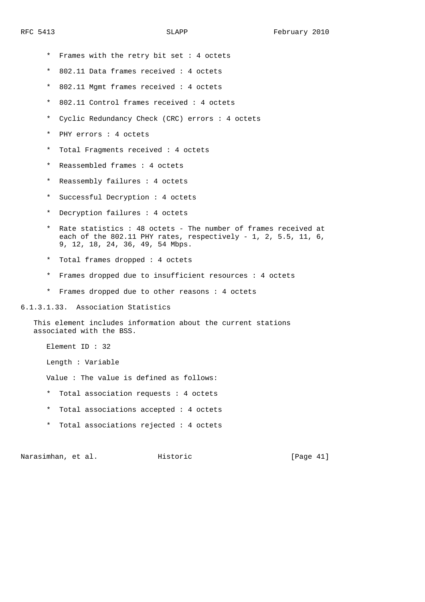- \* Frames with the retry bit set : 4 octets
- \* 802.11 Data frames received : 4 octets
- \* 802.11 Mgmt frames received : 4 octets
- \* 802.11 Control frames received : 4 octets
- \* Cyclic Redundancy Check (CRC) errors : 4 octets
- \* PHY errors : 4 octets
- \* Total Fragments received : 4 octets
- \* Reassembled frames : 4 octets
- \* Reassembly failures : 4 octets
- \* Successful Decryption : 4 octets
- \* Decryption failures : 4 octets
- \* Rate statistics : 48 octets The number of frames received at each of the 802.11 PHY rates, respectively - 1, 2, 5.5, 11, 6, 9, 12, 18, 24, 36, 49, 54 Mbps.
	- \* Total frames dropped : 4 octets
	- \* Frames dropped due to insufficient resources : 4 octets
	- \* Frames dropped due to other reasons : 4 octets

6.1.3.1.33. Association Statistics

 This element includes information about the current stations associated with the BSS.

Element ID : 32

Length : Variable

Value : The value is defined as follows:

- \* Total association requests : 4 octets
- \* Total associations accepted : 4 octets
- \* Total associations rejected : 4 octets

Narasimhan, et al. Historic [Page 41]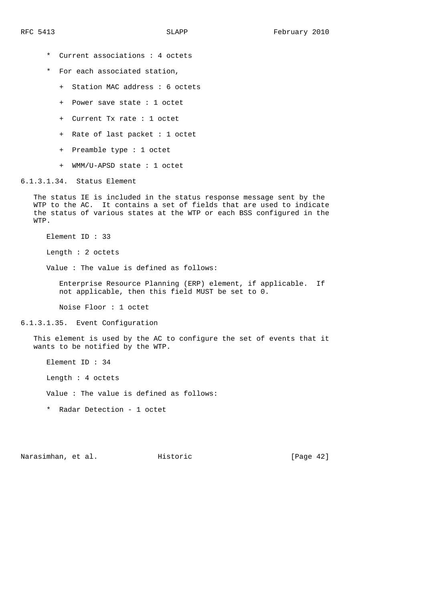- \* Current associations : 4 octets
- \* For each associated station,
	- + Station MAC address : 6 octets
	- + Power save state : 1 octet
	- + Current Tx rate : 1 octet
	- + Rate of last packet : 1 octet
	- + Preamble type : 1 octet
	- + WMM/U-APSD state : 1 octet

### 6.1.3.1.34. Status Element

 The status IE is included in the status response message sent by the WTP to the AC. It contains a set of fields that are used to indicate the status of various states at the WTP or each BSS configured in the WTP.

Element ID : 33

Length : 2 octets

Value : The value is defined as follows:

 Enterprise Resource Planning (ERP) element, if applicable. If not applicable, then this field MUST be set to 0.

Noise Floor : 1 octet

#### 6.1.3.1.35. Event Configuration

 This element is used by the AC to configure the set of events that it wants to be notified by the WTP.

Element ID : 34

Length : 4 octets

Value : The value is defined as follows:

\* Radar Detection - 1 octet

Narasimhan, et al. Historic [Page 42]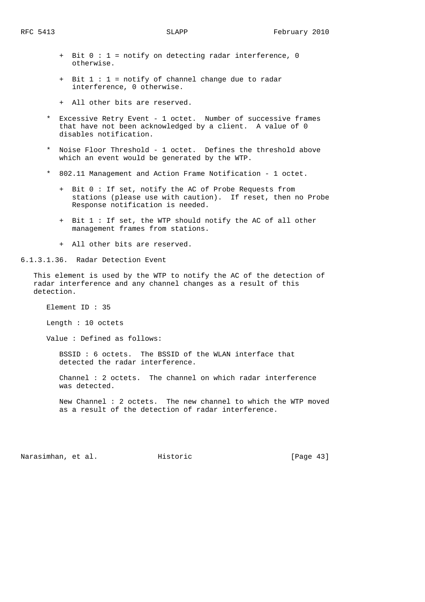- 
- + Bit 0 : 1 = notify on detecting radar interference, 0 otherwise.
- + Bit 1 : 1 = notify of channel change due to radar interference, 0 otherwise.
- + All other bits are reserved.
- Excessive Retry Event 1 octet. Number of successive frames that have not been acknowledged by a client. A value of 0 disables notification.
- \* Noise Floor Threshold 1 octet. Defines the threshold above which an event would be generated by the WTP.
- \* 802.11 Management and Action Frame Notification 1 octet.
	- + Bit 0 : If set, notify the AC of Probe Requests from stations (please use with caution). If reset, then no Probe Response notification is needed.
	- + Bit 1 : If set, the WTP should notify the AC of all other management frames from stations.
	- + All other bits are reserved.

6.1.3.1.36. Radar Detection Event

 This element is used by the WTP to notify the AC of the detection of radar interference and any channel changes as a result of this detection.

Element ID : 35

Length : 10 octets

Value : Defined as follows:

 BSSID : 6 octets. The BSSID of the WLAN interface that detected the radar interference.

 Channel : 2 octets. The channel on which radar interference was detected.

 New Channel : 2 octets. The new channel to which the WTP moved as a result of the detection of radar interference.

Narasimhan, et al. Historic [Page 43]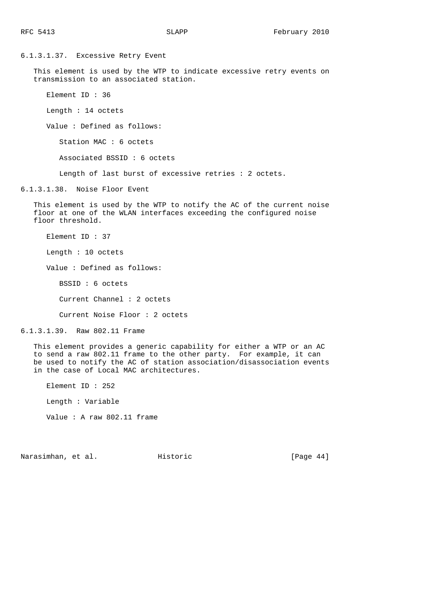6.1.3.1.37. Excessive Retry Event This element is used by the WTP to indicate excessive retry events on transmission to an associated station. Element ID : 36 Length : 14 octets Value : Defined as follows: Station MAC : 6 octets Associated BSSID : 6 octets Length of last burst of excessive retries : 2 octets. 6.1.3.1.38. Noise Floor Event This element is used by the WTP to notify the AC of the current noise floor at one of the WLAN interfaces exceeding the configured noise floor threshold. Element ID : 37 Length : 10 octets Value : Defined as follows: BSSID : 6 octets Current Channel : 2 octets Current Noise Floor : 2 octets 6.1.3.1.39. Raw 802.11 Frame This element provides a generic capability for either a WTP or an AC to send a raw 802.11 frame to the other party. For example, it can be used to notify the AC of station association/disassociation events in the case of Local MAC architectures. Element ID : 252

Length : Variable

Value : A raw 802.11 frame

Narasimhan, et al. Historic [Page 44]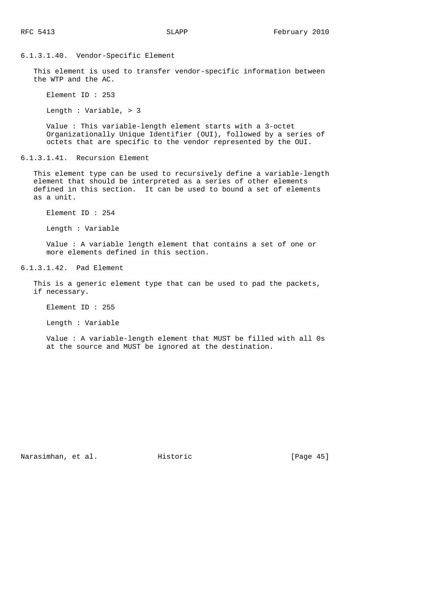## 6.1.3.1.40. Vendor-Specific Element

 This element is used to transfer vendor-specific information between the WTP and the AC.

Element ID : 253

Length : Variable, > 3

 Value : This variable-length element starts with a 3-octet Organizationally Unique Identifier (OUI), followed by a series of octets that are specific to the vendor represented by the OUI.

6.1.3.1.41. Recursion Element

 This element type can be used to recursively define a variable-length element that should be interpreted as a series of other elements defined in this section. It can be used to bound a set of elements as a unit.

Element ID : 254

Length : Variable

 Value : A variable length element that contains a set of one or more elements defined in this section.

6.1.3.1.42. Pad Element

 This is a generic element type that can be used to pad the packets, if necessary.

Element ID : 255

Length : Variable

 Value : A variable-length element that MUST be filled with all 0s at the source and MUST be ignored at the destination.

Narasimhan, et al. Historic [Page 45]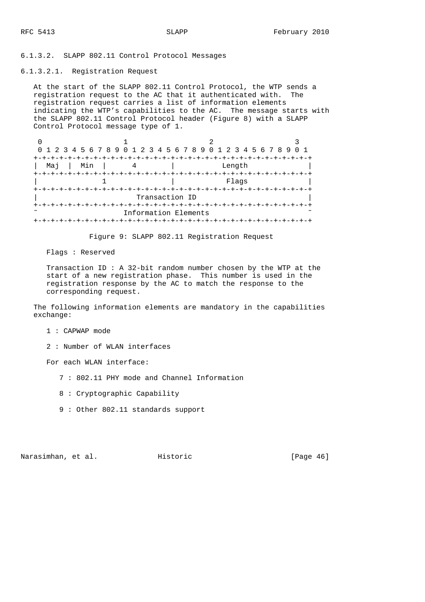6.1.3.2. SLAPP 802.11 Control Protocol Messages

6.1.3.2.1. Registration Request

 At the start of the SLAPP 802.11 Control Protocol, the WTP sends a registration request to the AC that it authenticated with. The registration request carries a list of information elements indicating the WTP's capabilities to the AC. The message starts with the SLAPP 802.11 Control Protocol header (Figure 8) with a SLAPP Control Protocol message type of 1.

0  $1$  2 3 0 1 2 3 4 5 6 7 8 9 0 1 2 3 4 5 6 7 8 9 0 1 2 3 4 5 6 7 8 9 0 1 +-+-+-+-+-+-+-+-+-+-+-+-+-+-+-+-+-+-+-+-+-+-+-+-+-+-+-+-+-+-+-+-+ | Maj | Min | 4 | Length +-+-+-+-+-+-+-+-+-+-+-+-+-+-+-+-+-+-+-+-+-+-+-+-+-+-+-+-+-+-+-+-+ 1 | Flags +-+-+-+-+-+-+-+-+-+-+-+-+-+-+-+-+-+-+-+-+-+-+-+-+-+-+-+-+-+-+-+-+ Transaction ID +-+-+-+-+-+-+-+-+-+-+-+-+-+-+-+-+-+-+-+-+-+-+-+-+-+-+-+-+-+-+-+-+ Information Elements +-+-+-+-+-+-+-+-+-+-+-+-+-+-+-+-+-+-+-+-+-+-+-+-+-+-+-+-+-+-+-+-+

Figure 9: SLAPP 802.11 Registration Request

Flags : Reserved

 Transaction ID : A 32-bit random number chosen by the WTP at the start of a new registration phase. This number is used in the registration response by the AC to match the response to the corresponding request.

 The following information elements are mandatory in the capabilities exchange:

1 : CAPWAP mode

2 : Number of WLAN interfaces

For each WLAN interface:

- 7 : 802.11 PHY mode and Channel Information
- 8 : Cryptographic Capability
- 9 : Other 802.11 standards support

Narasimhan, et al. Historic [Page 46]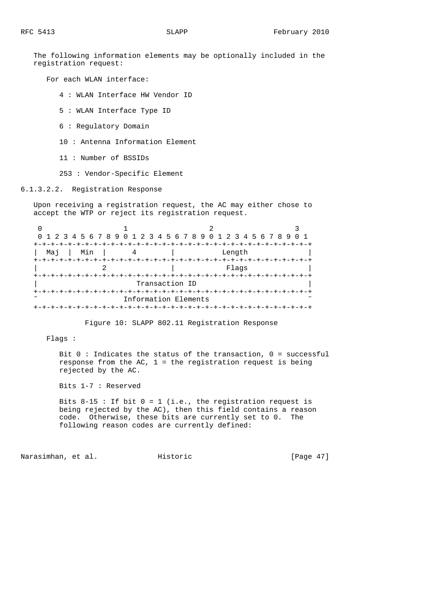The following information elements may be optionally included in the registration request:

For each WLAN interface:

4 : WLAN Interface HW Vendor ID

5 : WLAN Interface Type ID

6 : Regulatory Domain

10 : Antenna Information Element

11 : Number of BSSIDs

253 : Vendor-Specific Element

6.1.3.2.2. Registration Response

 Upon receiving a registration request, the AC may either chose to accept the WTP or reject its registration request.

| 0 1 2 3 4 5 6 7 8 9 0 1 2 3 4 5 6 7 8 9 0 1 2 3 4 5 6 7 8 9 0 1 |                      |                              |  |
|-----------------------------------------------------------------|----------------------|------------------------------|--|
|                                                                 |                      | -+-+-+-+-+-+-+-+-+-+-+-+-+-+ |  |
| Min<br>Mai                                                      |                      | Length                       |  |
|                                                                 |                      |                              |  |
|                                                                 |                      | Flaqs                        |  |
|                                                                 |                      |                              |  |
|                                                                 | Transaction ID       |                              |  |
| +-+-+-+-+-+-                                                    |                      |                              |  |
|                                                                 | Information Elements |                              |  |
|                                                                 |                      |                              |  |

Figure 10: SLAPP 802.11 Registration Response

Flags :

Bit  $0$  : Indicates the status of the transaction,  $0$  = successful response from the AC,  $1$  = the registration request is being rejected by the AC.

Bits 1-7 : Reserved

Bits  $8-15$ : If bit  $0 = 1$  (i.e., the registration request is being rejected by the AC), then this field contains a reason code. Otherwise, these bits are currently set to 0. The following reason codes are currently defined:

Narasimhan, et al. Historic [Page 47]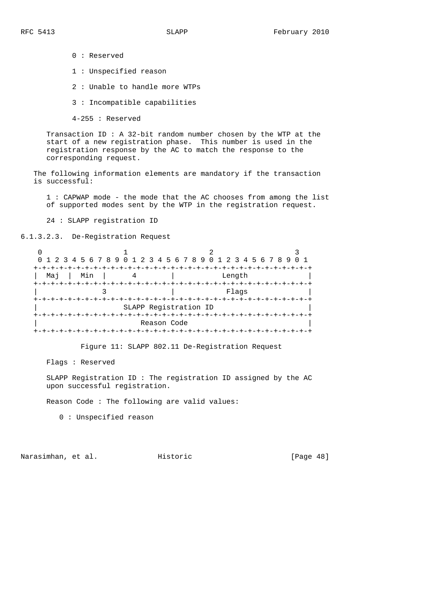0 : Reserved 1 : Unspecified reason 2 : Unable to handle more WTPs 3 : Incompatible capabilities 4-255 : Reserved

 Transaction ID : A 32-bit random number chosen by the WTP at the start of a new registration phase. This number is used in the registration response by the AC to match the response to the corresponding request.

 The following information elements are mandatory if the transaction is successful:

 1 : CAPWAP mode - the mode that the AC chooses from among the list of supported modes sent by the WTP in the registration request.

24 : SLAPP registration ID

6.1.3.2.3. De-Registration Request

|            |             | 0 1 2 3 4 5 6 7 8 9 0 1 2 3 4 5 6 7 8 9 0 1 2 3 4 5 6 7 8 9 |  |
|------------|-------------|-------------------------------------------------------------|--|
|            |             |                                                             |  |
| Min<br>Mai |             | Length                                                      |  |
|            |             |                                                             |  |
|            |             | Flags                                                       |  |
|            |             | +-+-+-+--                                                   |  |
|            |             | SLAPP Registration ID                                       |  |
|            |             |                                                             |  |
|            | Reason Code |                                                             |  |
|            |             | -+-+-+-+-+-+-                                               |  |

Figure 11: SLAPP 802.11 De-Registration Request

Flags : Reserved

 SLAPP Registration ID : The registration ID assigned by the AC upon successful registration.

Reason Code : The following are valid values:

0 : Unspecified reason

Narasimhan, et al. Historic [Page 48]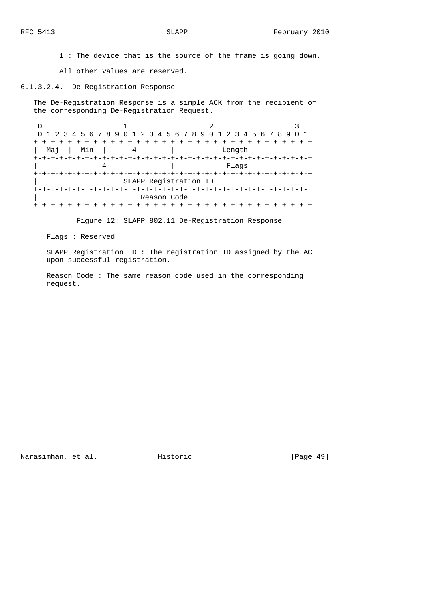1 : The device that is the source of the frame is going down.

All other values are reserved.

6.1.3.2.4. De-Registration Response

 The De-Registration Response is a simple ACK from the recipient of the corresponding De-Registration Request.

|            |                        | 0 1 2 3 4 5 6 7 8 9 0 1 2 3 4 5 6 7 8 9 0 1 2 3 4 5 6 7 8 9 0 1 |  |
|------------|------------------------|-----------------------------------------------------------------|--|
|            |                        |                                                                 |  |
| Min<br>Maj |                        | Length                                                          |  |
|            |                        |                                                                 |  |
|            |                        | Flaqs                                                           |  |
|            |                        | +-+-+-+-+-+-+-+-+-+                                             |  |
|            | SLAPP Registration ID  |                                                                 |  |
|            |                        |                                                                 |  |
|            | Reason Code            |                                                                 |  |
|            | -+-+-+-+-+-+-+-+-+-+-+ |                                                                 |  |

Figure 12: SLAPP 802.11 De-Registration Response

Flags : Reserved

 SLAPP Registration ID : The registration ID assigned by the AC upon successful registration.

 Reason Code : The same reason code used in the corresponding request.

Narasimhan, et al. Historic [Page 49]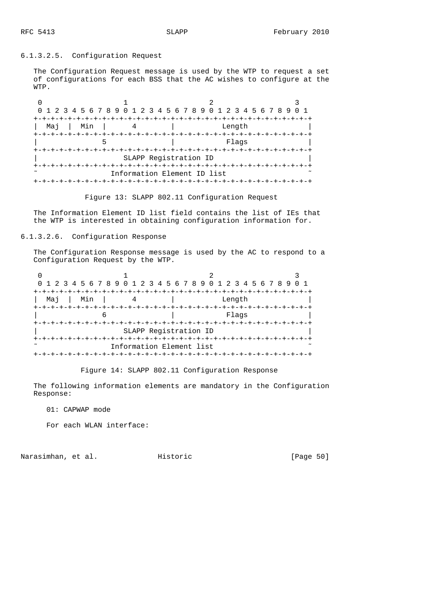### 6.1.3.2.5. Configuration Request

 The Configuration Request message is used by the WTP to request a set of configurations for each BSS that the AC wishes to configure at the WTP.

|     |     | 0 1 2 3 4 5 6 7 8 9 0 1 2 3 4 5 6 7 8 9 0 1 2 3 4 5 6 7 8 9 |  |
|-----|-----|-------------------------------------------------------------|--|
|     |     |                                                             |  |
| Mai | Min | Length                                                      |  |
|     |     |                                                             |  |
|     |     | Flags                                                       |  |
|     |     |                                                             |  |
|     |     | SLAPP Registration ID                                       |  |
|     |     |                                                             |  |
|     |     | Information Element ID list                                 |  |
|     |     |                                                             |  |

Figure 13: SLAPP 802.11 Configuration Request

 The Information Element ID list field contains the list of IEs that the WTP is interested in obtaining configuration information for.

6.1.3.2.6. Configuration Response

 The Configuration Response message is used by the AC to respond to a Configuration Request by the WTP.

|             | 0 1 2 3 4 5 6 7 8 9 0 1 2 3 4 5 6 7 8 9 0 1 2 3 4 5 6 7 8 9 0 1 |        |  |
|-------------|-----------------------------------------------------------------|--------|--|
| Min<br>Mai  |                                                                 | Length |  |
|             |                                                                 | Flags  |  |
|             | SLAPP Registration ID                                           |        |  |
| +-+-+-+-+-+ | Information Element list                                        |        |  |
|             |                                                                 |        |  |

Figure 14: SLAPP 802.11 Configuration Response

 The following information elements are mandatory in the Configuration Response:

01: CAPWAP mode

For each WLAN interface:

Narasimhan, et al. Historic [Page 50]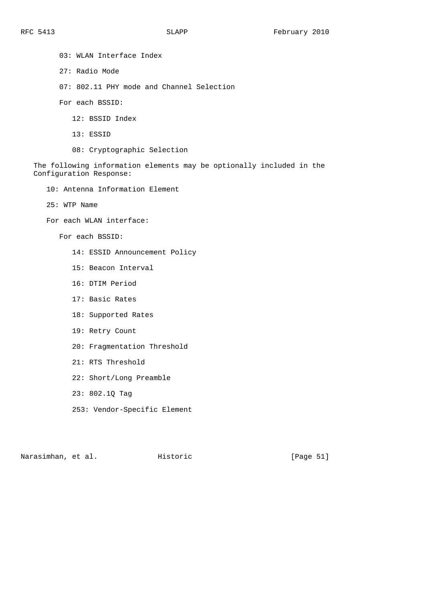03: WLAN Interface Index 27: Radio Mode 07: 802.11 PHY mode and Channel Selection For each BSSID: 12: BSSID Index 13: ESSID 08: Cryptographic Selection The following information elements may be optionally included in the Configuration Response: 10: Antenna Information Element 25: WTP Name For each WLAN interface: For each BSSID: 14: ESSID Announcement Policy 15: Beacon Interval 16: DTIM Period 17: Basic Rates 18: Supported Rates 19: Retry Count 20: Fragmentation Threshold 21: RTS Threshold

- 22: Short/Long Preamble
- 23: 802.1Q Tag
- 253: Vendor-Specific Element

Narasimhan, et al. Historic [Page 51]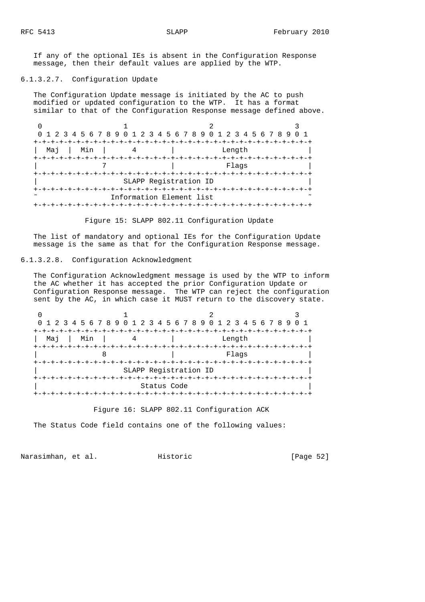If any of the optional IEs is absent in the Configuration Response message, then their default values are applied by the WTP.

### 6.1.3.2.7. Configuration Update

 The Configuration Update message is initiated by the AC to push modified or updated configuration to the WTP. It has a format similar to that of the Configuration Response message defined above.

0  $1$  2 3 0 1 2 3 4 5 6 7 8 9 0 1 2 3 4 5 6 7 8 9 0 1 2 3 4 5 6 7 8 9 0 1 +-+-+-+-+-+-+-+-+-+-+-+-+-+-+-+-+-+-+-+-+-+-+-+-+-+-+-+-+-+-+-+-+ | Maj | Min | 4 | Length +-+-+-+-+-+-+-+-+-+-+-+-+-+-+-+-+-+-+-+-+-+-+-+-+-+-+-+-+-+-+-+-+ | Tags +-+-+-+-+-+-+-+-+-+-+-+-+-+-+-+-+-+-+-+-+-+-+-+-+-+-+-+-+-+-+-+-+ | SLAPP Registration ID | +-+-+-+-+-+-+-+-+-+-+-+-+-+-+-+-+-+-+-+-+-+-+-+-+-+-+-+-+-+-+-+-+ Information Element list +-+-+-+-+-+-+-+-+-+-+-+-+-+-+-+-+-+-+-+-+-+-+-+-+-+-+-+-+-+-+-+-+

Figure 15: SLAPP 802.11 Configuration Update

 The list of mandatory and optional IEs for the Configuration Update message is the same as that for the Configuration Response message.

6.1.3.2.8. Configuration Acknowledgment

 The Configuration Acknowledgment message is used by the WTP to inform the AC whether it has accepted the prior Configuration Update or Configuration Response message. The WTP can reject the configuration sent by the AC, in which case it MUST return to the discovery state.

| 0 1 2 3 4 5 6 7 8 9 0 1 2 3 4 5 6 7 8 9 0 1 2 3 4 5 6 7 8 9 0 1 |                       |                                          |  |
|-----------------------------------------------------------------|-----------------------|------------------------------------------|--|
| Min<br>Mai                                                      |                       | +-+-+-+-+-+-+-+-+-+-+-+-+-+-+-<br>Length |  |
|                                                                 |                       | Flags                                    |  |
|                                                                 | SLAPP Registration ID |                                          |  |
|                                                                 | Status Code           |                                          |  |
|                                                                 |                       |                                          |  |

Figure 16: SLAPP 802.11 Configuration ACK

The Status Code field contains one of the following values:

Narasimhan, et al. Historic [Page 52]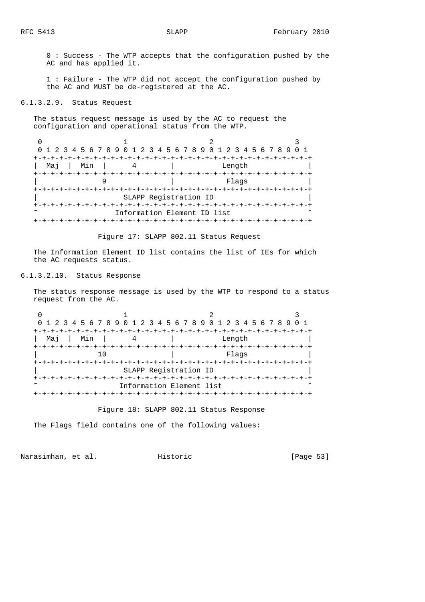0 : Success - The WTP accepts that the configuration pushed by the AC and has applied it.

 1 : Failure - The WTP did not accept the configuration pushed by the AC and MUST be de-registered at the AC.

6.1.3.2.9. Status Request

 The status request message is used by the AC to request the configuration and operational status from the WTP.

| 0 1 2 3 4 5 6 7 8 9 0 1 2 3 4 5 6 7 8 9 0 1 2 3 4 5 6 7 8 9 0 1 |                             |                                  |  |
|-----------------------------------------------------------------|-----------------------------|----------------------------------|--|
|                                                                 |                             | +-+-+-+-+-+-+-+-+-+-+-+-+-+-+-+- |  |
| Min<br>Mai                                                      |                             | Length                           |  |
|                                                                 |                             |                                  |  |
|                                                                 |                             | Flags                            |  |
|                                                                 |                             |                                  |  |
|                                                                 | SLAPP Registration ID       |                                  |  |
|                                                                 |                             | -+-+-+-+-+-+-+-+-                |  |
|                                                                 | Information Element ID list |                                  |  |
|                                                                 |                             |                                  |  |

Figure 17: SLAPP 802.11 Status Request

 The Information Element ID list contains the list of IEs for which the AC requests status.

# 6.1.3.2.10. Status Response

 The status response message is used by the WTP to respond to a status request from the AC.

| 0 1 2 3 4 5 6 7 8 9 0 1 2 3 4 5 6 7 8 9 0 1 2 3 4 5 6 7 8 9 0 1 |                          |        |  |
|-----------------------------------------------------------------|--------------------------|--------|--|
|                                                                 |                          |        |  |
| Min<br>Мај                                                      |                          | Length |  |
|                                                                 |                          |        |  |
|                                                                 |                          | Flaqs  |  |
|                                                                 |                          |        |  |
|                                                                 | SLAPP Registration ID    |        |  |
|                                                                 |                          |        |  |
|                                                                 | Information Element list |        |  |
|                                                                 |                          |        |  |

Figure 18: SLAPP 802.11 Status Response

The Flags field contains one of the following values:

Narasimhan, et al. Historic [Page 53]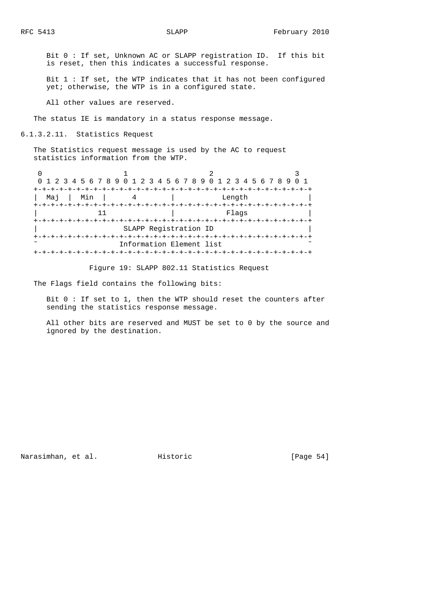Bit 0 : If set, Unknown AC or SLAPP registration ID. If this bit is reset, then this indicates a successful response.

 Bit 1 : If set, the WTP indicates that it has not been configured yet; otherwise, the WTP is in a configured state.

All other values are reserved.

The status IE is mandatory in a status response message.

6.1.3.2.11. Statistics Request

 The Statistics request message is used by the AC to request statistics information from the WTP.

|            | 0 1 2 3 4 5 6 7 8 9 0 1 2 3 4 5 6 7 8 9 0 1 2 3 4 5 6 7 8 9 0 1 |        |  |
|------------|-----------------------------------------------------------------|--------|--|
|            | +-+-+-+-+-+-+-+-+-+                                             |        |  |
| Min<br>Mai |                                                                 | Length |  |
|            |                                                                 |        |  |
|            |                                                                 | Flaqs  |  |
|            |                                                                 |        |  |
|            | SLAPP Registration ID                                           |        |  |
|            |                                                                 |        |  |
|            | Information Element list                                        |        |  |
|            |                                                                 |        |  |

Figure 19: SLAPP 802.11 Statistics Request

The Flags field contains the following bits:

 Bit 0 : If set to 1, then the WTP should reset the counters after sending the statistics response message.

 All other bits are reserved and MUST be set to 0 by the source and ignored by the destination.

Narasimhan, et al. Historic [Page 54]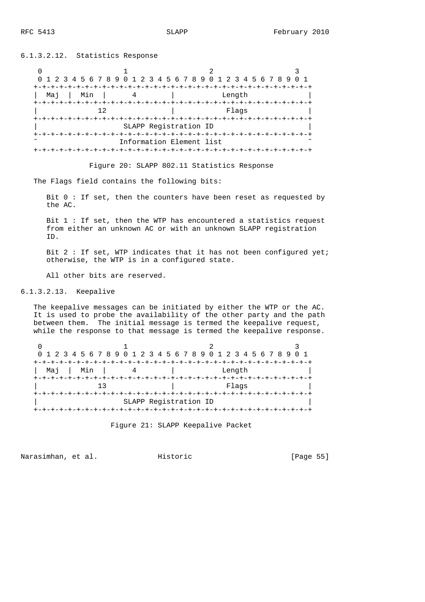6.1.3.2.12. Statistics Response

0  $1$  2 3 0 1 2 3 4 5 6 7 8 9 0 1 2 3 4 5 6 7 8 9 0 1 2 3 4 5 6 7 8 9 0 1 +-+-+-+-+-+-+-+-+-+-+-+-+-+-+-+-+-+-+-+-+-+-+-+-+-+-+-+-+-+-+-+-+ | Maj | Min | 4 | Length +-+-+-+-+-+-+-+-+-+-+-+-+-+-+-+-+-+-+-+-+-+-+-+-+-+-+-+-+-+-+-+-+ | 12 | Flags | 12 | Flags | 12 | Flags | 12 | Flags | 12 | Flags | 12 | Trip | 12 | Trip | 12 | Trip | 12 | Trip | 1 +-+-+-+-+-+-+-+-+-+-+-+-+-+-+-+-+-+-+-+-+-+-+-+-+-+-+-+-+-+-+-+-+ | SLAPP Registration ID | +-+-+-+-+-+-+-+-+-+-+-+-+-+-+-+-+-+-+-+-+-+-+-+-+-+-+-+-+-+-+-+-+ Information Element list +-+-+-+-+-+-+-+-+-+-+-+-+-+-+-+-+-+-+-+-+-+-+-+-+-+-+-+-+-+-+-+-+

Figure 20: SLAPP 802.11 Statistics Response

The Flags field contains the following bits:

 Bit 0 : If set, then the counters have been reset as requested by the AC.

 Bit 1 : If set, then the WTP has encountered a statistics request from either an unknown AC or with an unknown SLAPP registration ID.

Bit  $2:$  If set, WTP indicates that it has not been configured yet; otherwise, the WTP is in a configured state.

All other bits are reserved.

6.1.3.2.13. Keepalive

 The keepalive messages can be initiated by either the WTP or the AC. It is used to probe the availability of the other party and the path between them. The initial message is termed the keepalive request, while the response to that message is termed the keepalive response.

|              | 0 1 2 3 4 5 6 7 8 9 0 1 2 3 4 5 6 7 8 9 0 1 2 3 4 5 6 7 8 9 0 1 |  |
|--------------|-----------------------------------------------------------------|--|
|              |                                                                 |  |
| Min<br>Mai l | Length                                                          |  |
|              |                                                                 |  |
|              | Flaqs                                                           |  |
|              |                                                                 |  |
|              | SLAPP Registration ID                                           |  |
|              |                                                                 |  |

Figure 21: SLAPP Keepalive Packet

Narasimhan, et al. Historic [Page 55]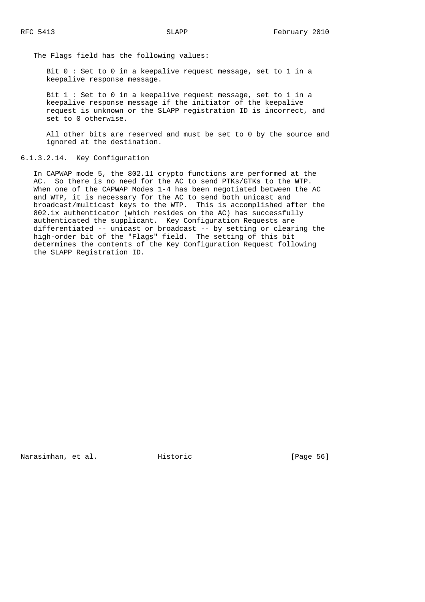The Flags field has the following values:

 Bit 0 : Set to 0 in a keepalive request message, set to 1 in a keepalive response message.

 Bit 1 : Set to 0 in a keepalive request message, set to 1 in a keepalive response message if the initiator of the keepalive request is unknown or the SLAPP registration ID is incorrect, and set to 0 otherwise.

 All other bits are reserved and must be set to 0 by the source and ignored at the destination.

### 6.1.3.2.14. Key Configuration

 In CAPWAP mode 5, the 802.11 crypto functions are performed at the AC. So there is no need for the AC to send PTKs/GTKs to the WTP. When one of the CAPWAP Modes 1-4 has been negotiated between the AC and WTP, it is necessary for the AC to send both unicast and broadcast/multicast keys to the WTP. This is accomplished after the 802.1x authenticator (which resides on the AC) has successfully authenticated the supplicant. Key Configuration Requests are differentiated -- unicast or broadcast -- by setting or clearing the high-order bit of the "Flags" field. The setting of this bit determines the contents of the Key Configuration Request following the SLAPP Registration ID.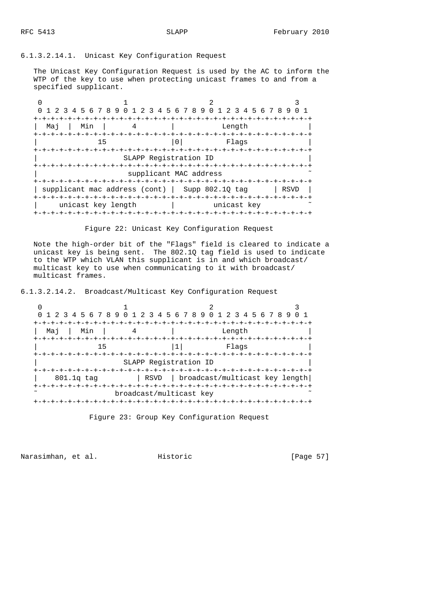# 6.1.3.2.14.1. Unicast Key Configuration Request

 The Unicast Key Configuration Request is used by the AC to inform the WTP of the key to use when protecting unicast frames to and from a specified supplicant.

|                    |                       | 0 1 2 3 4 5 6 7 8 9 0 1 2 3 4 5 6 7 8 9 0 1 2 3 4 5 6 7 8 9 |      |
|--------------------|-----------------------|-------------------------------------------------------------|------|
| Min<br>Maj         |                       | Length<br>$- + - + - + - +$                                 |      |
| 15                 |                       | Flaqs                                                       |      |
|                    | SLAPP Registration ID | supplicant MAC address                                      |      |
|                    |                       | supplicant mac address (cont)   Supp 802.10 tag<br>$+-+$    | RSVD |
| unicast key length |                       | unicast key                                                 |      |

Figure 22: Unicast Key Configuration Request

 Note the high-order bit of the "Flags" field is cleared to indicate a unicast key is being sent. The 802.1Q tag field is used to indicate to the WTP which VLAN this supplicant is in and which broadcast/ multicast key to use when communicating to it with broadcast/ multicast frames.

6.1.3.2.14.2. Broadcast/Multicast Key Configuration Request

| 0 1 2 3 4 5 6 7 8 9 0 1 2 3 4 5 6 7 8 9 0 1 2 3 4 5 6 7 8 9 0 1 |                                                 | -+-+-+-+-+-+-+-+-+-+-+-+-+-           |  |
|-----------------------------------------------------------------|-------------------------------------------------|---------------------------------------|--|
| Min<br>Maj                                                      |                                                 | Length                                |  |
| 15                                                              |                                                 | Flaqs                                 |  |
|                                                                 | SLAPP Registration ID                           |                                       |  |
| 801.1q tag                                                      |                                                 | RSVD   broadcast/multicast key length |  |
|                                                                 | -+-+-+-+-+-+-+-+-+-+<br>broadcast/multicast key |                                       |  |

Figure 23: Group Key Configuration Request

Narasimhan, et al. Historic [Page 57]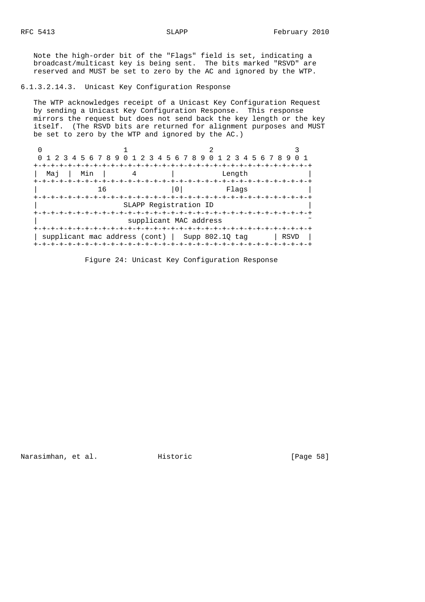Note the high-order bit of the "Flags" field is set, indicating a broadcast/multicast key is being sent. The bits marked "RSVD" are reserved and MUST be set to zero by the AC and ignored by the WTP.

# 6.1.3.2.14.3. Unicast Key Configuration Response

 The WTP acknowledges receipt of a Unicast Key Configuration Request by sending a Unicast Key Configuration Response. This response mirrors the request but does not send back the key length or the key itself. (The RSVD bits are returned for alignment purposes and MUST be set to zero by the WTP and ignored by the AC.)

| 0 1 2 3 4 5 6 7 8 9 0 1 2 3 4 5 6 7 8 9 0 1 2 3 4 5 6 7 8 9 |                        |        |      |
|-------------------------------------------------------------|------------------------|--------|------|
|                                                             |                        |        |      |
| Min<br>Maj                                                  |                        | Length |      |
| 16                                                          |                        | Flaqs  |      |
|                                                             | SLAPP Registration ID  |        |      |
|                                                             | supplicant MAC address |        |      |
| supplicant mac address (cont)   Supp 802.10 tag             | -+-+-+-+-+-+-+         |        | RSVD |

Figure 24: Unicast Key Configuration Response

Narasimhan, et al. Historic [Page 58]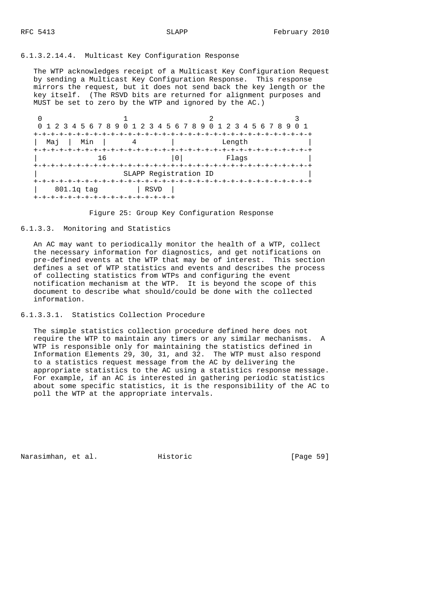## 6.1.3.2.14.4. Multicast Key Configuration Response

 The WTP acknowledges receipt of a Multicast Key Configuration Request by sending a Multicast Key Configuration Response. This response mirrors the request, but it does not send back the key length or the key itself. (The RSVD bits are returned for alignment purposes and MUST be set to zero by the WTP and ignored by the AC.)

|              | 0 1 2 3 4 5 6 7 8 9 0 1 2 3 4 5 6 7 8 9 0 1 2 3 4 5 6 7 8 9 | -+-+-+-+-+-+-+-+-+-+-+-+-+-+-+ |                                                  |  |
|--------------|-------------------------------------------------------------|--------------------------------|--------------------------------------------------|--|
| Min<br>Mai   |                                                             |                                | Length                                           |  |
|              | 16                                                          |                                | Flaqs<br>-+-+-+-+-+-+-+-+-+-+-+-+-+-+-+-+-+-+-+- |  |
|              |                                                             | SLAPP Registration ID          |                                                  |  |
| $801.1q$ tag | +-+-+-+-+-+-+-+-+-+-+-+-+-+-+-+-+                           | RSVD                           |                                                  |  |

Figure 25: Group Key Configuration Response

# 6.1.3.3. Monitoring and Statistics

 An AC may want to periodically monitor the health of a WTP, collect the necessary information for diagnostics, and get notifications on pre-defined events at the WTP that may be of interest. This section defines a set of WTP statistics and events and describes the process of collecting statistics from WTPs and configuring the event notification mechanism at the WTP. It is beyond the scope of this document to describe what should/could be done with the collected information.

## 6.1.3.3.1. Statistics Collection Procedure

 The simple statistics collection procedure defined here does not require the WTP to maintain any timers or any similar mechanisms. A WTP is responsible only for maintaining the statistics defined in Information Elements 29, 30, 31, and 32. The WTP must also respond to a statistics request message from the AC by delivering the appropriate statistics to the AC using a statistics response message. For example, if an AC is interested in gathering periodic statistics about some specific statistics, it is the responsibility of the AC to poll the WTP at the appropriate intervals.

Narasimhan, et al. Historic [Page 59]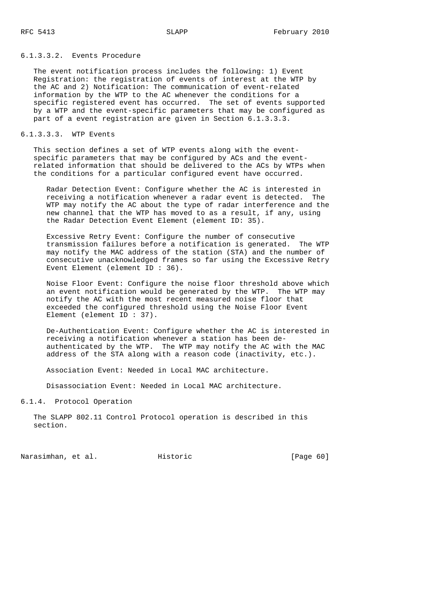## 6.1.3.3.2. Events Procedure

 The event notification process includes the following: 1) Event Registration: the registration of events of interest at the WTP by the AC and 2) Notification: The communication of event-related information by the WTP to the AC whenever the conditions for a specific registered event has occurred. The set of events supported by a WTP and the event-specific parameters that may be configured as part of a event registration are given in Section 6.1.3.3.3.

### 6.1.3.3.3. WTP Events

This section defines a set of WTP events along with the event specific parameters that may be configured by ACs and the event related information that should be delivered to the ACs by WTPs when the conditions for a particular configured event have occurred.

 Radar Detection Event: Configure whether the AC is interested in receiving a notification whenever a radar event is detected. The WTP may notify the AC about the type of radar interference and the new channel that the WTP has moved to as a result, if any, using the Radar Detection Event Element (element ID: 35).

 Excessive Retry Event: Configure the number of consecutive transmission failures before a notification is generated. The WTP may notify the MAC address of the station (STA) and the number of consecutive unacknowledged frames so far using the Excessive Retry Event Element (element ID : 36).

 Noise Floor Event: Configure the noise floor threshold above which an event notification would be generated by the WTP. The WTP may notify the AC with the most recent measured noise floor that exceeded the configured threshold using the Noise Floor Event Element (element ID : 37).

 De-Authentication Event: Configure whether the AC is interested in receiving a notification whenever a station has been de authenticated by the WTP. The WTP may notify the AC with the MAC address of the STA along with a reason code (inactivity, etc.).

Association Event: Needed in Local MAC architecture.

Disassociation Event: Needed in Local MAC architecture.

## 6.1.4. Protocol Operation

 The SLAPP 802.11 Control Protocol operation is described in this section.

Narasimhan, et al. Historic [Page 60]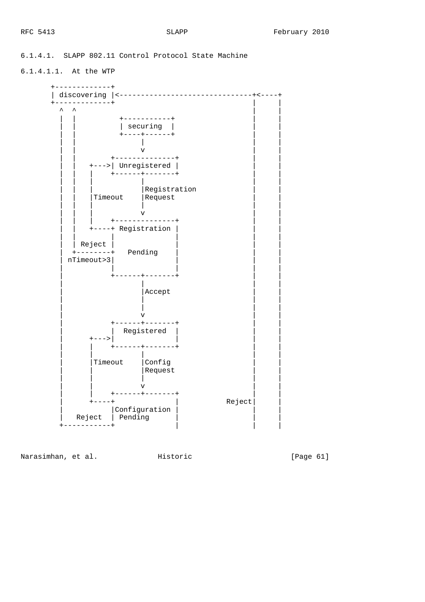# 6.1.4.1. SLAPP 802.11 Control Protocol State Machine

6.1.4.1.1. At the WTP



Narasimhan, et al. Historic [Page 61]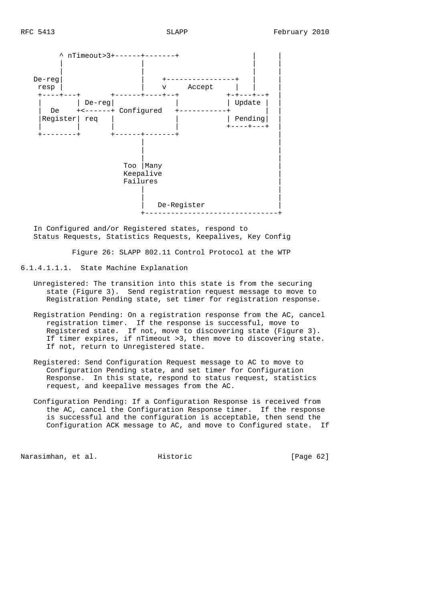

 In Configured and/or Registered states, respond to Status Requests, Statistics Requests, Keepalives, Key Config

Figure 26: SLAPP 802.11 Control Protocol at the WTP

6.1.4.1.1.1. State Machine Explanation

- Unregistered: The transition into this state is from the securing state (Figure 3). Send registration request message to move to Registration Pending state, set timer for registration response.
- Registration Pending: On a registration response from the AC, cancel registration timer. If the response is successful, move to Registered state. If not, move to discovering state (Figure 3). If timer expires, if nTimeout >3, then move to discovering state. If not, return to Unregistered state.
- Registered: Send Configuration Request message to AC to move to Configuration Pending state, and set timer for Configuration Response. In this state, respond to status request, statistics request, and keepalive messages from the AC.
- Configuration Pending: If a Configuration Response is received from the AC, cancel the Configuration Response timer. If the response is successful and the configuration is acceptable, then send the Configuration ACK message to AC, and move to Configured state. If

Narasimhan, et al. Historic [Page 62]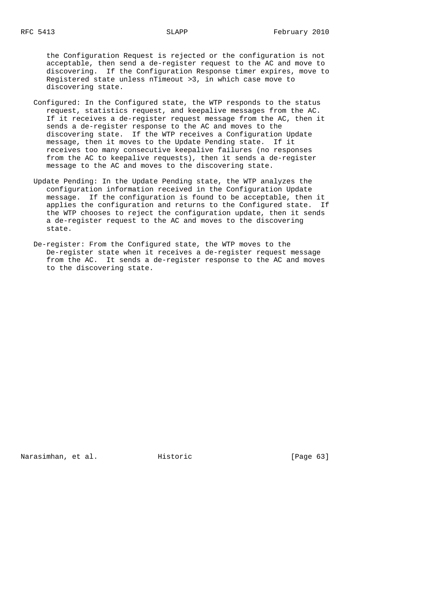the Configuration Request is rejected or the configuration is not acceptable, then send a de-register request to the AC and move to discovering. If the Configuration Response timer expires, move to Registered state unless nTimeout >3, in which case move to discovering state.

- Configured: In the Configured state, the WTP responds to the status request, statistics request, and keepalive messages from the AC. If it receives a de-register request message from the AC, then it sends a de-register response to the AC and moves to the discovering state. If the WTP receives a Configuration Update message, then it moves to the Update Pending state. If it receives too many consecutive keepalive failures (no responses from the AC to keepalive requests), then it sends a de-register message to the AC and moves to the discovering state.
- Update Pending: In the Update Pending state, the WTP analyzes the configuration information received in the Configuration Update message. If the configuration is found to be acceptable, then it applies the configuration and returns to the Configured state. If the WTP chooses to reject the configuration update, then it sends a de-register request to the AC and moves to the discovering state.
- De-register: From the Configured state, the WTP moves to the De-register state when it receives a de-register request message from the AC. It sends a de-register response to the AC and moves to the discovering state.

Narasimhan, et al. Historic [Page 63]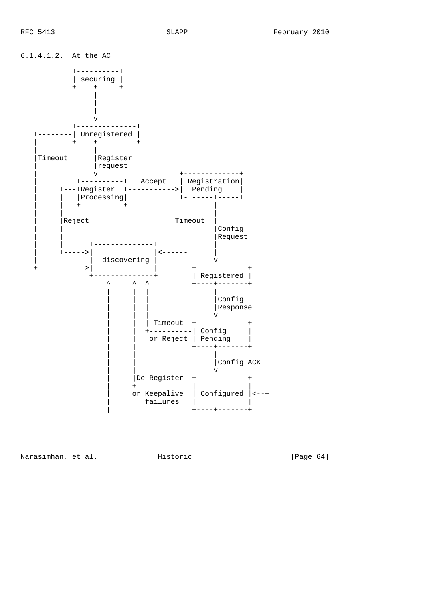

Narasimhan, et al. Historic [Page 64]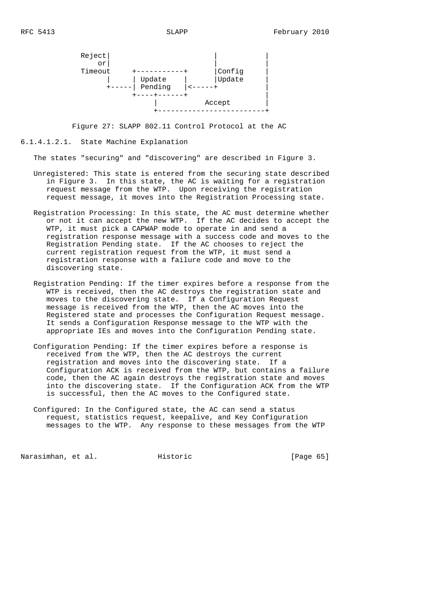

Figure 27: SLAPP 802.11 Control Protocol at the AC

#### 6.1.4.1.2.1. State Machine Explanation

The states "securing" and "discovering" are described in Figure 3.

- Unregistered: This state is entered from the securing state described in Figure 3. In this state, the AC is waiting for a registration request message from the WTP. Upon receiving the registration request message, it moves into the Registration Processing state.
- Registration Processing: In this state, the AC must determine whether or not it can accept the new WTP. If the AC decides to accept the WTP, it must pick a CAPWAP mode to operate in and send a registration response message with a success code and moves to the Registration Pending state. If the AC chooses to reject the current registration request from the WTP, it must send a registration response with a failure code and move to the discovering state.
	- Registration Pending: If the timer expires before a response from the WTP is received, then the AC destroys the registration state and moves to the discovering state. If a Configuration Request message is received from the WTP, then the AC moves into the Registered state and processes the Configuration Request message. It sends a Configuration Response message to the WTP with the appropriate IEs and moves into the Configuration Pending state.
	- Configuration Pending: If the timer expires before a response is received from the WTP, then the AC destroys the current registration and moves into the discovering state. If a Configuration ACK is received from the WTP, but contains a failure code, then the AC again destroys the registration state and moves into the discovering state. If the Configuration ACK from the WTP is successful, then the AC moves to the Configured state.
	- Configured: In the Configured state, the AC can send a status request, statistics request, keepalive, and Key Configuration messages to the WTP. Any response to these messages from the WTP

Narasimhan, et al. Historic [Page 65]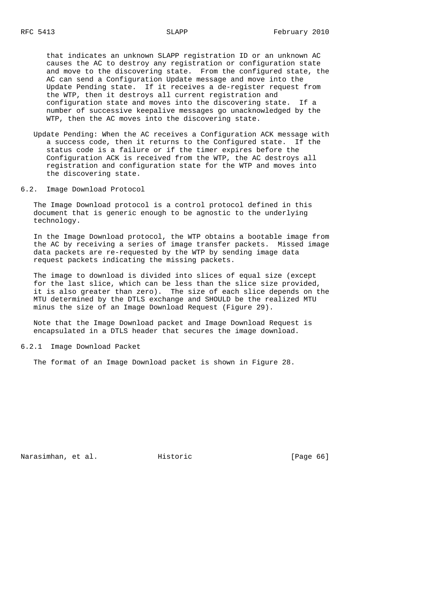that indicates an unknown SLAPP registration ID or an unknown AC causes the AC to destroy any registration or configuration state and move to the discovering state. From the configured state, the AC can send a Configuration Update message and move into the Update Pending state. If it receives a de-register request from the WTP, then it destroys all current registration and configuration state and moves into the discovering state. If a number of successive keepalive messages go unacknowledged by the WTP, then the AC moves into the discovering state.

- Update Pending: When the AC receives a Configuration ACK message with a success code, then it returns to the Configured state. If the status code is a failure or if the timer expires before the Configuration ACK is received from the WTP, the AC destroys all registration and configuration state for the WTP and moves into the discovering state.
- 6.2. Image Download Protocol

 The Image Download protocol is a control protocol defined in this document that is generic enough to be agnostic to the underlying technology.

 In the Image Download protocol, the WTP obtains a bootable image from the AC by receiving a series of image transfer packets. Missed image data packets are re-requested by the WTP by sending image data request packets indicating the missing packets.

 The image to download is divided into slices of equal size (except for the last slice, which can be less than the slice size provided, it is also greater than zero). The size of each slice depends on the MTU determined by the DTLS exchange and SHOULD be the realized MTU minus the size of an Image Download Request (Figure 29).

 Note that the Image Download packet and Image Download Request is encapsulated in a DTLS header that secures the image download.

6.2.1 Image Download Packet

The format of an Image Download packet is shown in Figure 28.

Narasimhan, et al. Historic [Page 66]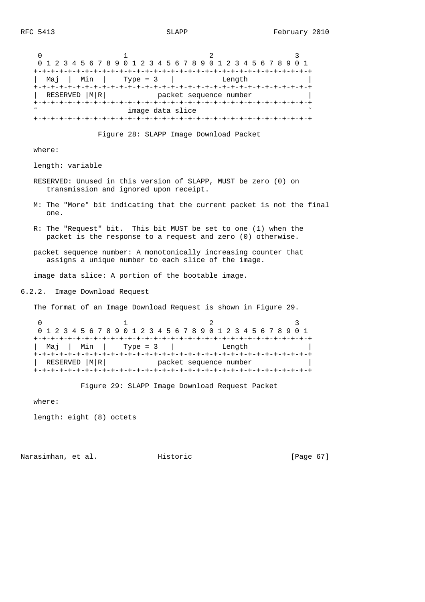| 0<br>1<br>3.<br>2<br>0 1 2 3 4 5 6 7 8 9 0 1 2 3 4 5 6 7 8 9 0 1 2 3 4 5 6 7 8 9 0 1<br>Maj   Min   Type = $3$   Length<br>RESERVED   M   R   Packet sequence number<br>image data slice |
|------------------------------------------------------------------------------------------------------------------------------------------------------------------------------------------|
| Figure 28: SLAPP Image Download Packet                                                                                                                                                   |
| where:                                                                                                                                                                                   |
| length: variable                                                                                                                                                                         |
| RESERVED: Unused in this version of SLAPP, MUST be zero (0) on<br>transmission and ignored upon receipt.                                                                                 |
| M: The "More" bit indicating that the current packet is not the final<br>one.                                                                                                            |
| R: The "Request" bit. This bit MUST be set to one (1) when the<br>packet is the response to a request and zero (0) otherwise.                                                            |
| packet sequence number: A monotonically increasing counter that<br>assigns a unique number to each slice of the image.                                                                   |
| image data slice: A portion of the bootable image.                                                                                                                                       |
| 6.2.2. Image Download Request                                                                                                                                                            |
| The format of an Image Download Request is shown in Figure 29.                                                                                                                           |
| 2<br>3<br>0<br>1<br>0 1 2 3 4 5 6 7 8 9 0 1 2 3 4 5 6 7 8 9 0 1 2 3 4 5 6 7 8 9 0 1                                                                                                      |
| Min   Type = 3  <br>Mai<br>Length                                                                                                                                                        |
| RESERVED   M R  Packet sequence number                                                                                                                                                   |
| Figure 29: SLAPP Image Download Request Packet<br>where:                                                                                                                                 |
|                                                                                                                                                                                          |
| length: eight (8) octets                                                                                                                                                                 |

Narasimhan, et al. Historic [Page 67]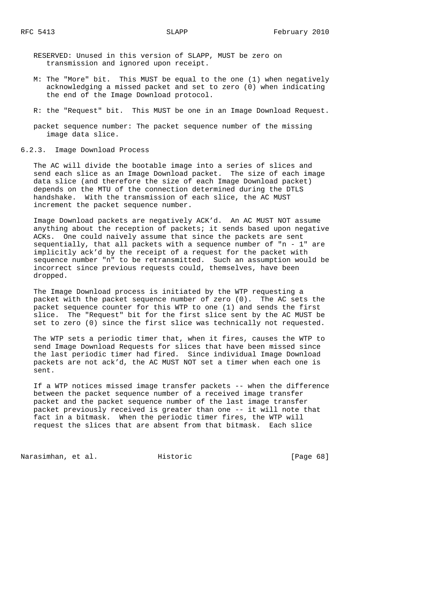RESERVED: Unused in this version of SLAPP, MUST be zero on transmission and ignored upon receipt.

- M: The "More" bit. This MUST be equal to the one (1) when negatively acknowledging a missed packet and set to zero (0) when indicating the end of the Image Download protocol.
- R: the "Request" bit. This MUST be one in an Image Download Request.
- packet sequence number: The packet sequence number of the missing image data slice.

#### 6.2.3. Image Download Process

 The AC will divide the bootable image into a series of slices and send each slice as an Image Download packet. The size of each image data slice (and therefore the size of each Image Download packet) depends on the MTU of the connection determined during the DTLS handshake. With the transmission of each slice, the AC MUST increment the packet sequence number.

 Image Download packets are negatively ACK'd. An AC MUST NOT assume anything about the reception of packets; it sends based upon negative ACKs. One could naively assume that since the packets are sent sequentially, that all packets with a sequence number of "n - 1" are implicitly ack'd by the receipt of a request for the packet with sequence number "n" to be retransmitted. Such an assumption would be incorrect since previous requests could, themselves, have been dropped.

 The Image Download process is initiated by the WTP requesting a packet with the packet sequence number of zero (0). The AC sets the packet sequence counter for this WTP to one (1) and sends the first slice. The "Request" bit for the first slice sent by the AC MUST be set to zero (0) since the first slice was technically not requested.

 The WTP sets a periodic timer that, when it fires, causes the WTP to send Image Download Requests for slices that have been missed since the last periodic timer had fired. Since individual Image Download packets are not ack'd, the AC MUST NOT set a timer when each one is sent.

 If a WTP notices missed image transfer packets -- when the difference between the packet sequence number of a received image transfer packet and the packet sequence number of the last image transfer packet previously received is greater than one -- it will note that fact in a bitmask. When the periodic timer fires, the WTP will request the slices that are absent from that bitmask. Each slice

Narasimhan, et al. Historic [Page 68]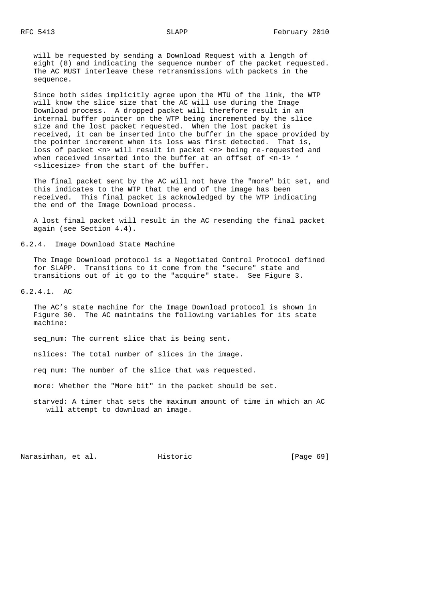will be requested by sending a Download Request with a length of eight (8) and indicating the sequence number of the packet requested. The AC MUST interleave these retransmissions with packets in the sequence.

 Since both sides implicitly agree upon the MTU of the link, the WTP will know the slice size that the AC will use during the Image Download process. A dropped packet will therefore result in an internal buffer pointer on the WTP being incremented by the slice size and the lost packet requested. When the lost packet is received, it can be inserted into the buffer in the space provided by the pointer increment when its loss was first detected. That is, loss of packet <n> will result in packet <n> being re-requested and when received inserted into the buffer at an offset of  $\langle n-1 \rangle$  \* <slicesize> from the start of the buffer.

 The final packet sent by the AC will not have the "more" bit set, and this indicates to the WTP that the end of the image has been received. This final packet is acknowledged by the WTP indicating the end of the Image Download process.

 A lost final packet will result in the AC resending the final packet again (see Section 4.4).

6.2.4. Image Download State Machine

 The Image Download protocol is a Negotiated Control Protocol defined for SLAPP. Transitions to it come from the "secure" state and transitions out of it go to the "acquire" state. See Figure 3.

6.2.4.1. AC

 The AC's state machine for the Image Download protocol is shown in Figure 30. The AC maintains the following variables for its state machine:

seq\_num: The current slice that is being sent.

nslices: The total number of slices in the image.

req\_num: The number of the slice that was requested.

more: Whether the "More bit" in the packet should be set.

 starved: A timer that sets the maximum amount of time in which an AC will attempt to download an image.

Narasimhan, et al. Historic [Page 69]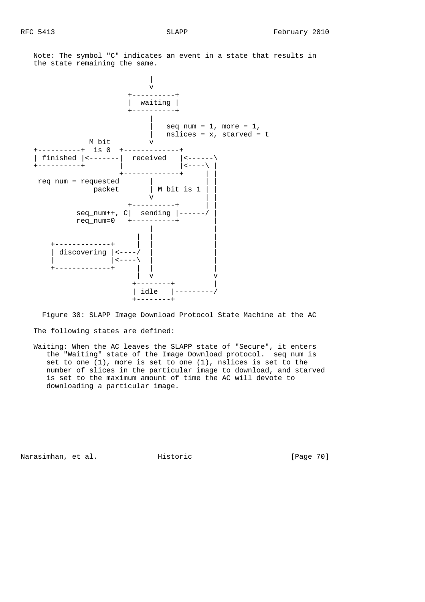Note: The symbol "C" indicates an event in a state that results in the state remaining the same.



 Figure 30: SLAPP Image Download Protocol State Machine at the AC The following states are defined:

 Waiting: When the AC leaves the SLAPP state of "Secure", it enters the "Waiting" state of the Image Download protocol. seq\_num is set to one (1), more is set to one (1), nslices is set to the number of slices in the particular image to download, and starved is set to the maximum amount of time the AC will devote to downloading a particular image.

Narasimhan, et al. Historic [Page 70]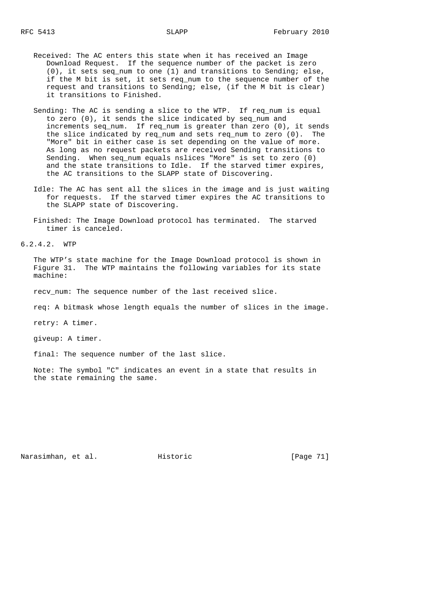- Received: The AC enters this state when it has received an Image Download Request. If the sequence number of the packet is zero (0), it sets seq\_num to one (1) and transitions to Sending; else, if the M bit is set, it sets req\_num to the sequence number of the request and transitions to Sending; else, (if the M bit is clear) it transitions to Finished.
- Sending: The AC is sending a slice to the WTP. If req\_num is equal to zero (0), it sends the slice indicated by seq\_num and increments seq num. If req num is greater than zero  $(0)$ , it sends the slice indicated by req\_num and sets req\_num to zero (0). The "More" bit in either case is set depending on the value of more. As long as no request packets are received Sending transitions to Sending. When seq\_num equals nslices "More" is set to zero (0) and the state transitions to Idle. If the starved timer expires, the AC transitions to the SLAPP state of Discovering.
- Idle: The AC has sent all the slices in the image and is just waiting for requests. If the starved timer expires the AC transitions to the SLAPP state of Discovering.
- Finished: The Image Download protocol has terminated. The starved timer is canceled.

6.2.4.2. WTP

 The WTP's state machine for the Image Download protocol is shown in Figure 31. The WTP maintains the following variables for its state machine:

recv\_num: The sequence number of the last received slice.

req: A bitmask whose length equals the number of slices in the image.

retry: A timer.

giveup: A timer.

final: The sequence number of the last slice.

 Note: The symbol "C" indicates an event in a state that results in the state remaining the same.

Narasimhan, et al. Historic [Page 71]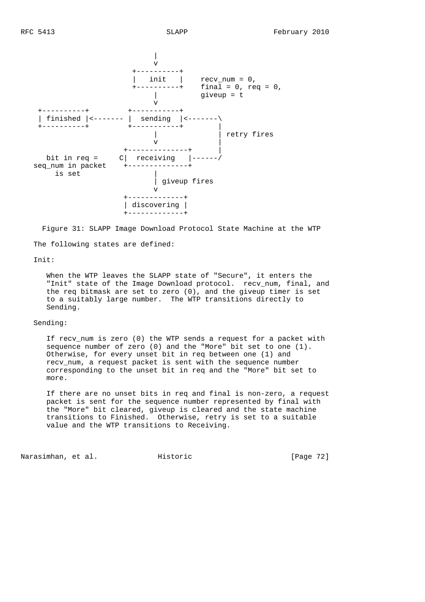

 Figure 31: SLAPP Image Download Protocol State Machine at the WTP The following states are defined:

### Init:

 When the WTP leaves the SLAPP state of "Secure", it enters the "Init" state of the Image Download protocol. recv\_num, final, and the req bitmask are set to zero (0), and the giveup timer is set to a suitably large number. The WTP transitions directly to Sending.

### Sending:

 If recv\_num is zero (0) the WTP sends a request for a packet with sequence number of zero (0) and the "More" bit set to one (1). Otherwise, for every unset bit in req between one (1) and recv\_num, a request packet is sent with the sequence number corresponding to the unset bit in req and the "More" bit set to more.

 If there are no unset bits in req and final is non-zero, a request packet is sent for the sequence number represented by final with the "More" bit cleared, giveup is cleared and the state machine transitions to Finished. Otherwise, retry is set to a suitable value and the WTP transitions to Receiving.

Narasimhan, et al. Historic [Page 72]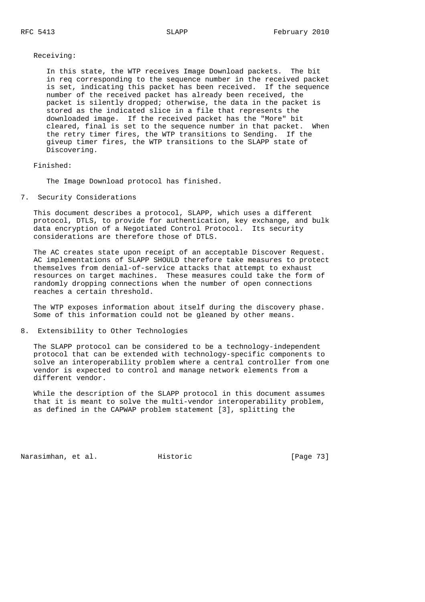Receiving:

 In this state, the WTP receives Image Download packets. The bit in req corresponding to the sequence number in the received packet is set, indicating this packet has been received. If the sequence number of the received packet has already been received, the packet is silently dropped; otherwise, the data in the packet is stored as the indicated slice in a file that represents the downloaded image. If the received packet has the "More" bit cleared, final is set to the sequence number in that packet. When the retry timer fires, the WTP transitions to Sending. If the giveup timer fires, the WTP transitions to the SLAPP state of Discovering.

## Finished:

The Image Download protocol has finished.

7. Security Considerations

 This document describes a protocol, SLAPP, which uses a different protocol, DTLS, to provide for authentication, key exchange, and bulk data encryption of a Negotiated Control Protocol. Its security considerations are therefore those of DTLS.

 The AC creates state upon receipt of an acceptable Discover Request. AC implementations of SLAPP SHOULD therefore take measures to protect themselves from denial-of-service attacks that attempt to exhaust resources on target machines. These measures could take the form of randomly dropping connections when the number of open connections reaches a certain threshold.

 The WTP exposes information about itself during the discovery phase. Some of this information could not be gleaned by other means.

8. Extensibility to Other Technologies

 The SLAPP protocol can be considered to be a technology-independent protocol that can be extended with technology-specific components to solve an interoperability problem where a central controller from one vendor is expected to control and manage network elements from a different vendor.

 While the description of the SLAPP protocol in this document assumes that it is meant to solve the multi-vendor interoperability problem, as defined in the CAPWAP problem statement [3], splitting the

Narasimhan, et al. Historic [Page 73]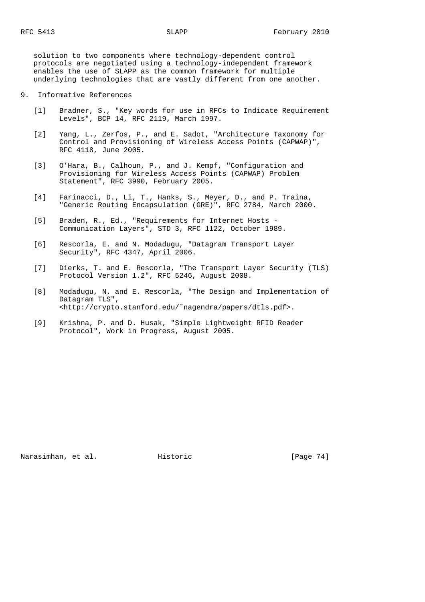solution to two components where technology-dependent control protocols are negotiated using a technology-independent framework enables the use of SLAPP as the common framework for multiple underlying technologies that are vastly different from one another.

- 9. Informative References
	- [1] Bradner, S., "Key words for use in RFCs to Indicate Requirement Levels", BCP 14, RFC 2119, March 1997.
	- [2] Yang, L., Zerfos, P., and E. Sadot, "Architecture Taxonomy for Control and Provisioning of Wireless Access Points (CAPWAP)", RFC 4118, June 2005.
	- [3] O'Hara, B., Calhoun, P., and J. Kempf, "Configuration and Provisioning for Wireless Access Points (CAPWAP) Problem Statement", RFC 3990, February 2005.
	- [4] Farinacci, D., Li, T., Hanks, S., Meyer, D., and P. Traina, "Generic Routing Encapsulation (GRE)", RFC 2784, March 2000.
	- [5] Braden, R., Ed., "Requirements for Internet Hosts -Communication Layers", STD 3, RFC 1122, October 1989.
	- [6] Rescorla, E. and N. Modadugu, "Datagram Transport Layer Security", RFC 4347, April 2006.
	- [7] Dierks, T. and E. Rescorla, "The Transport Layer Security (TLS) Protocol Version 1.2", RFC 5246, August 2008.
	- [8] Modadugu, N. and E. Rescorla, "The Design and Implementation of Datagram TLS", <http://crypto.stanford.edu/˜nagendra/papers/dtls.pdf>.
	- [9] Krishna, P. and D. Husak, "Simple Lightweight RFID Reader Protocol", Work in Progress, August 2005.

Narasimhan, et al. Historic [Page 74]